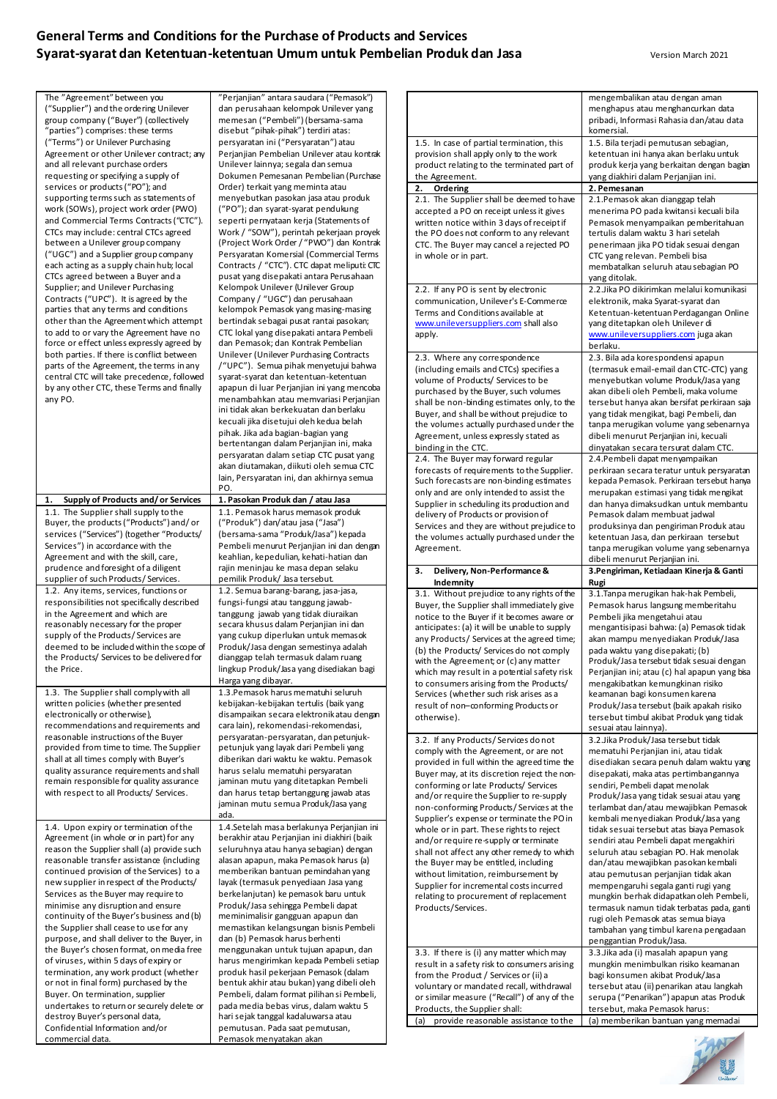## **General Terms and Conditions for the Purchase of Products and Services Syarat-syarat dan Ketentuan-ketentuan Umum untuk Pembelian Produk dan Jasa** Version March 2021

| The "Agreement" between you<br>("Supplier") and the ordering Unilever<br>group company ("Buyer") (collectively<br>"parties") comprises: these terms       | "Perjanjian" antara saudara ("Pemasok")<br>dan perusahaan kelompok Unilever yang<br>memesan ("Pembeli") (bersama-sama<br>disebut "pihak-pihak") terdiri atas:     |                                                                                                                                                     | mengembalikan atau dengan aman<br>menghapus atau menghancurkan data<br>pribadi, Informasi Rahasia dan/atau data<br>komersial.                                       |
|-----------------------------------------------------------------------------------------------------------------------------------------------------------|-------------------------------------------------------------------------------------------------------------------------------------------------------------------|-----------------------------------------------------------------------------------------------------------------------------------------------------|---------------------------------------------------------------------------------------------------------------------------------------------------------------------|
| ("Terms") or Unilever Purchasing<br>Agreement or other Unilever contract; any<br>and all relevant purchase orders<br>requesting or specifying a supply of | persyaratan ini ("Persyaratan") atau<br>Perjanjian Pembelian Unilever atau kontrak<br>Unilever lainnya; segala dan semua<br>Dokumen Pemesanan Pembelian (Purchase | 1.5. In case of partial termination, this<br>provision shall apply only to the work<br>product relating to the terminated part of<br>the Agreement. | 1.5. Bila terjadi pemutusan sebagian,<br>ketentuan ini hanya akan berlaku untuk<br>produk kerja yang berkaitan dengan bagian<br>yang diakhiri dalam Perjanjian ini. |
| services or products ("PO"); and                                                                                                                          | Order) terkait yang meminta atau                                                                                                                                  | 2. Ordering                                                                                                                                         | 2. Pemesanan                                                                                                                                                        |
| supporting terms such as statements of                                                                                                                    | menyebutkan pasokan jasa atau produk                                                                                                                              | 2.1. The Supplier shall be deemed to have                                                                                                           | 2.1. Pemasok akan dianggap telah                                                                                                                                    |
| work (SOWs), project work order (PWO)                                                                                                                     | ("PO"); dan syarat-syarat pendukung                                                                                                                               | accepted a PO on receipt unless it gives                                                                                                            | menerima PO pada kwitansi kecuali bila                                                                                                                              |
| and Commercial Terms Contracts ("CTC").<br>CTCs may include: central CTCs agreed                                                                          | seperti pernyataan kerja (Statements of<br>Work / "SOW"), perintah pekerjaan proyek                                                                               | written notice within 3 days of receipt if                                                                                                          | Pemasok menyampaikan pemberitahuan                                                                                                                                  |
| between a Unilever group company                                                                                                                          | (Project Work Order / "PWO") dan Kontrak                                                                                                                          | the PO does not conform to any relevant<br>CTC. The Buyer may cancel a rejected PO                                                                  | tertulis dalam waktu 3 hari setelah<br>penerimaan jika PO tidak sesuai dengan                                                                                       |
| ("UGC") and a Supplier group company                                                                                                                      | Persyaratan Komersial (Commercial Terms                                                                                                                           | in whole or in part.                                                                                                                                | CTC yang relevan. Pembeli bisa                                                                                                                                      |
| each acting as a supply chain hub; local                                                                                                                  | Contracts / "CTC"). CTC dapat meliputi: CTC                                                                                                                       |                                                                                                                                                     | membatalkan seluruh atau sebagian PO                                                                                                                                |
| CTCs agreed between a Buyer and a                                                                                                                         | pusat yang disepakati antara Perusahaan                                                                                                                           |                                                                                                                                                     | yang ditolak.                                                                                                                                                       |
| Supplier; and Unilever Purchasing                                                                                                                         | Kelompok Unilever (Unilever Group                                                                                                                                 | 2.2. If any PO is sent by electronic                                                                                                                | 2.2. Jika PO dikirimkan melalui komunikasi                                                                                                                          |
| Contracts ("UPC"). It is agreed by the<br>parties that any terms and conditions                                                                           | Company / "UGC") dan perusahaan<br>kelompok Pemasok yang masing-masing                                                                                            | communication, Unilever's E-Commerce                                                                                                                | elektronik, maka Syarat-syarat dan                                                                                                                                  |
| other than the Agreement which attempt                                                                                                                    | bertindak sebagai pusat rantai pasokan;                                                                                                                           | Terms and Conditions available at<br>www.unileversuppliers.com shall also                                                                           | Ketentuan-ketentuan Perdagangan Online<br>yang ditetapkan oleh Unilever di                                                                                          |
| to add to or vary the Agreement have no                                                                                                                   | CTC lokal yang disepakati antara Pembeli                                                                                                                          | apply.                                                                                                                                              | www.unileversuppliers.com juga akan                                                                                                                                 |
| force or effect unless expressly agreed by                                                                                                                | dan Pemasok; dan Kontrak Pembelian                                                                                                                                |                                                                                                                                                     | berlaku.                                                                                                                                                            |
| both parties. If there is conflict between                                                                                                                | Unilever (Unilever Purchasing Contracts                                                                                                                           | 2.3. Where any correspondence                                                                                                                       | 2.3. Bila ada korespondensi apapun                                                                                                                                  |
| parts of the Agreement, the terms in any<br>central CTC will take precedence, followed                                                                    | /"UPC"). Semua pihak menyetujui bahwa                                                                                                                             | (including emails and CTCs) specifies a                                                                                                             | (termasuk email-email dan CTC-CTC) yang                                                                                                                             |
| by any other CTC, these Terms and finally                                                                                                                 | syarat-syarat dan ketentuan-ketentuan<br>apapun di luar Perjanjian ini yang mencoba                                                                               | volume of Products/ Services to be                                                                                                                  | menyebutkan volume Produk/Jasa yang                                                                                                                                 |
| any PO.                                                                                                                                                   | menambahkan atau memvariasi Perjanjian                                                                                                                            | purchased by the Buyer, such volumes                                                                                                                | akan dibeli oleh Pembeli, maka volume<br>tersebut hanya akan bersifat perkiraan saja                                                                                |
|                                                                                                                                                           | ini tidak akan berkekuatan dan berlaku                                                                                                                            | shall be non-binding estimates only, to the<br>Buyer, and shall be without prejudice to                                                             | yang tidak mengikat, bagi Pembeli, dan                                                                                                                              |
|                                                                                                                                                           | kecuali jika disetujui oleh kedua belah                                                                                                                           | the volumes actually purchased under the                                                                                                            | tanpa merugikan volume yang sebenarnya                                                                                                                              |
|                                                                                                                                                           | pihak. Jika ada bagian-bagian yang                                                                                                                                | Agreement, unless expressly stated as                                                                                                               | dibeli menurut Perjanjian ini, kecuali                                                                                                                              |
|                                                                                                                                                           | bertentangan dalam Perjanjian ini, maka<br>persyaratan dalam setiap CTC pusat yang                                                                                | binding in the CTC.                                                                                                                                 | dinyatakan secara tersurat dalam CTC.                                                                                                                               |
|                                                                                                                                                           | akan diutamakan, diikuti oleh semua CTC                                                                                                                           | 2.4. The Buyer may forward regular                                                                                                                  | 2.4. Pembeli dapat menyampaikan                                                                                                                                     |
|                                                                                                                                                           | lain, Persyaratan ini, dan akhirnya semua                                                                                                                         | forecasts of requirements to the Supplier.<br>Such forecasts are non-binding estimates                                                              | perkiraan secara teratur untuk persyaratan<br>kepada Pemasok. Perkiraan tersebut hanya                                                                              |
|                                                                                                                                                           | PO.                                                                                                                                                               | only and are only intended to assist the                                                                                                            | merupakan estimasi yang tidak mengikat                                                                                                                              |
| Supply of Products and/or Services<br>1.                                                                                                                  | 1. Pasokan Produk dan / atau Jasa                                                                                                                                 | Supplier in scheduling its production and                                                                                                           | dan hanya dimaksudkan untuk membantu                                                                                                                                |
| 1.1. The Supplier shall supply to the<br>Buyer, the products ("Products") and/or                                                                          | 1.1. Pemasok harus memasok produk<br>("Produk") dan/atau jasa ("Jasa")                                                                                            | delivery of Products or provision of                                                                                                                | Pemasok dalam membuat jadwal                                                                                                                                        |
| services ("Services") (together "Products/                                                                                                                | (bersama-sama "Produk/Jasa") kepada                                                                                                                               | Services and they are without prejudice to                                                                                                          | produksinya dan pengiriman Produk atau                                                                                                                              |
| Services") in accordance with the                                                                                                                         | Pembeli menurut Perjanjian ini dan dengan                                                                                                                         | the volumes actually purchased under the<br>Agreement.                                                                                              | ketentuan Jasa, dan perkiraan tersebut<br>tanpa merugikan volume yang sebenarnya                                                                                    |
| Agreement and with the skill, care,                                                                                                                       | keahlian, kepedulian, kehati-hatian dan                                                                                                                           |                                                                                                                                                     | dibeli menurut Perjanjian ini.                                                                                                                                      |
|                                                                                                                                                           |                                                                                                                                                                   |                                                                                                                                                     |                                                                                                                                                                     |
| prudence and foresight of a diligent                                                                                                                      | rajin meninjau ke masa depan selaku                                                                                                                               | Delivery, Non-Performance &<br>3.                                                                                                                   | 3. Pengiriman, Ketiadaan Kinerja & Ganti                                                                                                                            |
| supplier of such Products/Services.                                                                                                                       | pemilik Produk/ Jasa tersebut.                                                                                                                                    | Indemnity                                                                                                                                           | Rugi                                                                                                                                                                |
| 1.2. Any items, services, functions or                                                                                                                    | 1.2. Semua barang-barang, jasa-jasa,                                                                                                                              | 3.1. Without prejudice to any rights of the                                                                                                         | 3.1. Tanpa merugikan hak-hak Pembeli,                                                                                                                               |
| responsibilities not specifically described<br>in the Agreement and which are                                                                             | fungsi-fungsi atau tanggung jawab-<br>tanggung jawab yang tidak diuraikan                                                                                         | Buyer, the Supplier shall immediately give                                                                                                          | Pemasok harus langsung memberitahu                                                                                                                                  |
| reasonably necessary for the proper                                                                                                                       | secara khusus dalam Perjanjian ini dan                                                                                                                            | notice to the Buyer if it becomes aware or<br>anticipates: (a) it will be unable to supply                                                          | Pembeli jika mengetahui atau<br>mengantisipasi bahwa: (a) Pemasok tidak                                                                                             |
| supply of the Products/Services are                                                                                                                       | yang cukup diperlukan untuk memasok                                                                                                                               | any Products/ Services at the agreed time;                                                                                                          | akan mampu menyediakan Produk/Jasa                                                                                                                                  |
| deemed to be included within the scope of                                                                                                                 | Produk/Jasa dengan semestinya adalah                                                                                                                              | (b) the Products/ Services do not comply                                                                                                            | pada waktu yang disepakati; (b)                                                                                                                                     |
| the Products/ Services to be delivered for<br>the Price.                                                                                                  | dianggap telah termasuk dalam ruang<br>lingkup Produk/Jasa yang disediakan bagi                                                                                   | with the Agreement; or (c) any matter                                                                                                               | Produk/Jasa tersebut tidak sesuai dengan                                                                                                                            |
|                                                                                                                                                           | Harga yang dibayar.                                                                                                                                               | which may result in a potential safety risk                                                                                                         | Perjanjian ini; atau (c) hal apapun yang bisa                                                                                                                       |
| 1.3. The Supplier shall comply with all                                                                                                                   | 1.3. Pemasok harus mematuhi seluruh                                                                                                                               | to consumers arising from the Products/<br>Services (whether such risk arises as a                                                                  | mengakibatkan kemungkinan risiko<br>keamanan bagi konsumen karena                                                                                                   |
| written policies (whether presented                                                                                                                       | kebijakan-kebijakan tertulis (baik yang                                                                                                                           | result of non-conforming Products or                                                                                                                | Produk/Jasa tersebut (baik apakah risiko                                                                                                                            |
| electronically or otherwise),                                                                                                                             | disampaikan secara elektronikatau dengan                                                                                                                          | otherwise).                                                                                                                                         | tersebut timbul akibat Produk yang tidak                                                                                                                            |
| recommendations and requirements and<br>reasonable instructions of the Buyer                                                                              | cara lain), rekomendasi-rekomendasi,<br>persyaratan-persyaratan, dan petunjuk-                                                                                    |                                                                                                                                                     | sesuai atau lainnya).                                                                                                                                               |
| provided from time to time. The Supplier                                                                                                                  | petunjuk yang layak dari Pembeli yang                                                                                                                             | 3.2. If any Products/Services donot<br>comply with the Agreement, or are not                                                                        | 3.2. Jika Produk/Jasa tersebut tidak<br>mematuhi Perjanjian ini, atau tidak                                                                                         |
| shall at all times comply with Buyer's                                                                                                                    | diberikan dari waktu ke waktu. Pemasok                                                                                                                            | provided in full within the agreed time the                                                                                                         | disediakan secara penuh dalam waktu yang                                                                                                                            |
| quality assurance requirements and shall                                                                                                                  | harus selalu mematuhi persyaratan                                                                                                                                 | Buyer may, at its discretion reject the non-                                                                                                        | disepakati, maka atas pertimbangannya                                                                                                                               |
| remain responsible for quality assurance                                                                                                                  | jaminan mutu yang ditetapkan Pembeli                                                                                                                              | conforming or late Products/ Services                                                                                                               | sendiri, Pembeli dapat menolak                                                                                                                                      |
| with respect to all Products/ Services.                                                                                                                   | dan harus tetap bertanggung jawab atas<br>jaminan mutu semua Produk/Jasa yang                                                                                     | and/or require the Supplier to re-supply                                                                                                            | Produk/Jasa yang tidak sesuai atau yang                                                                                                                             |
|                                                                                                                                                           | ada.                                                                                                                                                              | non-conforming Products/Services at the<br>Supplier's expense or terminate the PO in                                                                | terlambat dan/atau mewajibkan Pemasok<br>kembali menyediakan Produk/Jasa yang                                                                                       |
| 1.4. Upon expiry or termination of the                                                                                                                    | 1.4.Setelah masa berlakunya Perjanjian ini                                                                                                                        | whole or in part. These rights to reject                                                                                                            | tidak sesuai tersebut atas biaya Pemasok                                                                                                                            |
| Agreement (in whole or in part) for any                                                                                                                   | berakhir atau Perjanjian ini diakhiri (baik                                                                                                                       | and/or require re-supply or terminate                                                                                                               | sendiri atau Pembeli dapat mengakhiri                                                                                                                               |
| reason the Supplier shall (a) provide such                                                                                                                | seluruhnya atau hanya sebagian) dengan                                                                                                                            | shall not affect any other remedy to which                                                                                                          | seluruh atau sebagian PO. Hak menolak                                                                                                                               |
| reasonable transfer assistance (including<br>continued provision of the Services) to a                                                                    | alasan apapun, maka Pemasok harus (a)<br>memberikan bantuan pemindahan yang                                                                                       | the Buyer may be entitled, including                                                                                                                | dan/atau mewajibkan pasokan kembali                                                                                                                                 |
| new supplier in respect of the Products/                                                                                                                  | layak (termasuk penyediaan Jasa yang                                                                                                                              | without limitation, reimbursement by<br>Supplier for incremental costs incurred                                                                     | atau pemutusan perjanjian tidak akan                                                                                                                                |
| Services as the Buyer may require to                                                                                                                      | berkelanjutan) ke pemasok baru untuk                                                                                                                              | relating to procurement of replacement                                                                                                              | mempengaruhi segala ganti rugi yang<br>mungkin berhak didapatkan oleh Pembeli,                                                                                      |
| minimise any disruption and ensure                                                                                                                        | Produk/Jasa sehingga Pembeli dapat                                                                                                                                | Products/Services.                                                                                                                                  | termasuk namun tidak terbatas pada, ganti                                                                                                                           |
| continuity of the Buyer's business and (b)                                                                                                                | meminimalisir gangguan apapun dan                                                                                                                                 |                                                                                                                                                     | rugi oleh Pemasok atas semua biaya                                                                                                                                  |
| the Supplier shall cease to use for any<br>purpose, and shall deliver to the Buyer, in                                                                    | memastikan kelangsungan bisnis Pembeli<br>dan (b) Pemasok harus berhenti                                                                                          |                                                                                                                                                     | tambahan yang timbul karena pengadaan                                                                                                                               |
| the Buyer's chosen format, on media free                                                                                                                  | menggunakan untuk tujuan apapun, dan                                                                                                                              | 3.3. If there is (i) any matter which may                                                                                                           | penggantian Produk/Jasa.<br>3.3. Jika ada (i) masalah apapun yang                                                                                                   |
| of viruses, within 5 days of expiry or                                                                                                                    | harus mengirimkan kepada Pembeli setiap                                                                                                                           | result in a safety risk to consumers arising                                                                                                        | mungkin menimbulkan risiko keamanan                                                                                                                                 |
| termination, any work product (whether                                                                                                                    | produk hasil pekerjaan Pemasok (dalam                                                                                                                             | from the Product / Services or (ii) a                                                                                                               | bagi konsumen akibat Produk/Jasa                                                                                                                                    |
| or not in final form) purchased by the<br>Buyer. On termination, supplier                                                                                 | bentuk akhir atau bukan) yang dibeli oleh<br>Pembeli, dalam format pilihan si Pembeli,                                                                            | voluntary or mandated recall, withdrawal                                                                                                            | tersebut atau (ii) penarikan atau langkah                                                                                                                           |
| undertakes to return or securely delete or                                                                                                                | pada media bebas virus, dalam waktu 5                                                                                                                             | or similar measure ("Recall") of any of the<br>Products, the Supplier shall:                                                                        | serupa ("Penarikan") apapun atas Produk<br>tersebut, maka Pemasok harus:                                                                                            |
| destroy Buyer's personal data,<br>Confidential Information and/or                                                                                         | hari sejak tanggal kadaluwarsa atau<br>pemutusan. Pada saat pemutusan,                                                                                            | provide reasonable assistance to the<br>(a)                                                                                                         | (a) memberikan bantuan yang memadai                                                                                                                                 |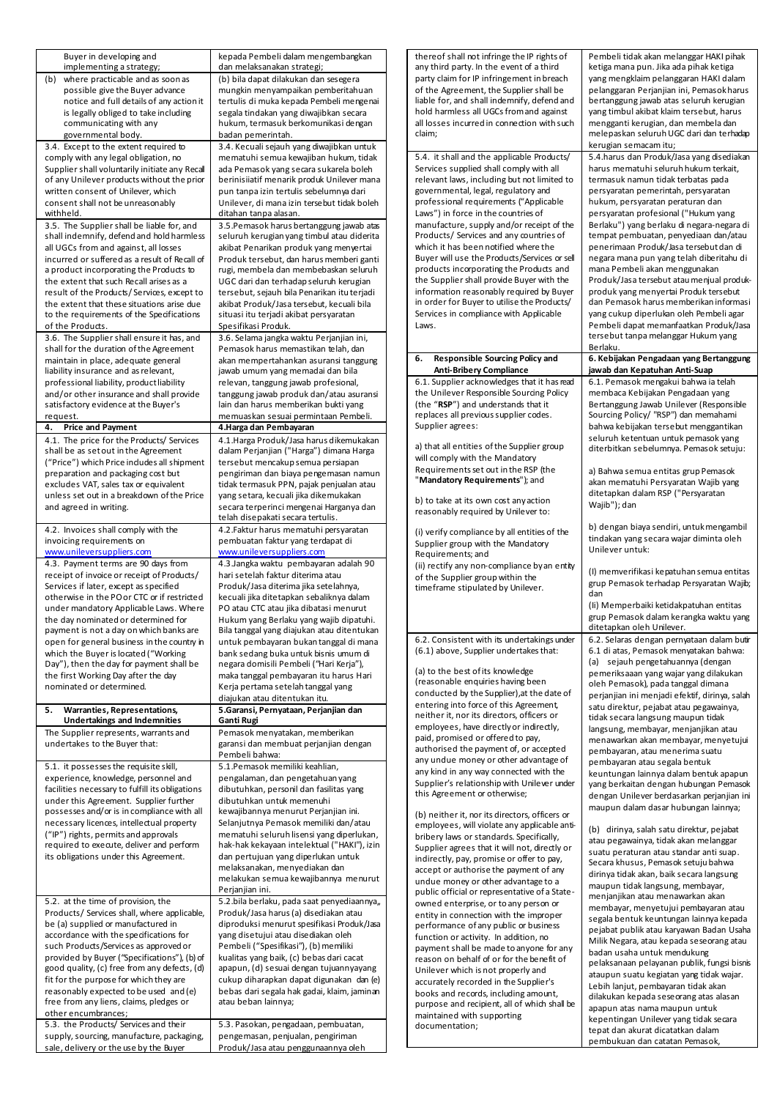| Buyer in developing and<br>kepada Pembeli dalam mengembangkan<br>implementing a strategy;<br>dan melaksanakan strategi; |                                                                                          | thereof shall not infringe the IP rights of<br>any third party. In the event of a third    | Pembeli tidak akan melanggar HAKI pihak<br>ketiga mana pun. Jika ada pihak ketiga   |
|-------------------------------------------------------------------------------------------------------------------------|------------------------------------------------------------------------------------------|--------------------------------------------------------------------------------------------|-------------------------------------------------------------------------------------|
| (b)<br>where practicable and as soon as<br>(b) bila dapat dilakukan dan sesegera                                        |                                                                                          | party claim for IP infringement in breach                                                  | yang mengklaim pelanggaran HAKI dalam                                               |
| possible give the Buyer advance<br>mungkin menyampaikan pemberitahuan                                                   |                                                                                          | of the Agreement, the Supplier shall be                                                    | pelanggaran Perjanjian ini, Pemasok harus                                           |
| notice and full details of any action it                                                                                | tertulis di muka kepada Pembeli mengenai                                                 | liable for, and shall indemnify, defend and<br>hold harmless all UGCs from and against     | bertanggung jawab atas seluruh kerugian<br>yang timbul akibat klaim tersebut, harus |
| is legally obliged to take including<br>communicating with any                                                          | segala tindakan yang diwajibkan secara<br>hukum, termasuk berkomunikasi dengan           | all losses incurred in connection with such                                                | mengganti kerugian, dan membela dan                                                 |
| governmental body.                                                                                                      | badan pemerintah.                                                                        | claim;                                                                                     | melepaskan seluruh UGC dari dan terhadap                                            |
| 3.4. Except to the extent required to                                                                                   | 3.4. Kecuali sejauh yang diwajibkan untuk                                                |                                                                                            | kerugian semacam itu;                                                               |
| comply with any legal obligation, no<br>Supplier shall voluntarily initiate any Recal                                   | mematuhi semua kewajiban hukum, tidak<br>ada Pemasok yang secara sukarela boleh          | 5.4. it shall and the applicable Products/<br>Services supplied shall comply with all      | 5.4. harus dan Produk/Jasa yang disediakan<br>harus mematuhi seluruh hukum terkait, |
| of any Unilever products without the prior                                                                              | berinisiiatif menarik produk Unilever mana                                               | relevant laws, including but not limited to                                                | termasuk namun tidak terbatas pada                                                  |
| written consent of Unilever, which                                                                                      | pun tanpa izin tertulis sebelumnya dari                                                  | governmental, legal, regulatory and                                                        | persyaratan pemerintah, persyaratan                                                 |
| consent shall not be unreasonably                                                                                       | Unilever, di mana izin tersebut tidak boleh                                              | professional requirements ("Applicable                                                     | hukum, persyaratan peraturan dan                                                    |
| withheld.<br>3.5. The Supplier shall be liable for, and                                                                 | ditahan tanpa alasan.<br>3.5. Pemasok harus bertanggung jawab atas                       | Laws") in force in the countries of<br>manufacture, supply and/or receipt of the           | persyaratan profesional ("Hukum yang<br>Berlaku") yang berlaku di negara-negara di  |
| shall indemnify, defend and hold harmless                                                                               | seluruh kerugian yang timbul atau diderita                                               | Products/ Services and any countries of                                                    | tempat pembuatan, penyediaan dan/atau                                               |
| all UGCs from and against, all losses                                                                                   | akibat Penarikan produk yang menyertai                                                   | which it has been notified where the                                                       | penerimaan Produk/Jasa tersebut dan di                                              |
| incurred or suffered as a result of Recall of<br>a product incorporating the Products to                                | Produk tersebut, dan harus memberi ganti<br>rugi, membela dan membebaskan seluruh        | Buyer will use the Products/Services or sell<br>products incorporating the Products and    | negara mana pun yang telah diberitahu di<br>mana Pembeli akan menggunakan           |
| the extent that such Recall arises as a                                                                                 | UGC dari dan terhadap seluruh kerugian                                                   | the Supplier shall provide Buyer with the                                                  | Produk/Jasa tersebut atau menjual produk-                                           |
| result of the Products/Services, except to                                                                              | tersebut, sejauh bila Penarikan itu terjadi                                              | information reasonably required by Buyer                                                   | produk yang menyertai Produk tersebut                                               |
| the extent that these situations arise due                                                                              | akibat Produk/Jasa tersebut, kecuali bila                                                | in order for Buyer to utilise the Products/<br>Services in compliance with Applicable      | dan Pemasok harus memberikan informasi<br>yang cukup diperlukan oleh Pembeli agar   |
| to the requirements of the Specifications<br>of the Products.                                                           | situasi itu terjadi akibat persyaratan<br>Spesifikasi Produk.                            | Laws.                                                                                      | Pembeli dapat memanfaatkan Produk/Jasa                                              |
| 3.6. The Supplier shall ensure it has, and                                                                              | 3.6. Selama jangka waktu Perjanjian ini,                                                 |                                                                                            | tersebut tanpa melanggar Hukum yang                                                 |
| shall for the duration of the Agreement                                                                                 | Pemasok harus memastikan telah, dan                                                      |                                                                                            | Berlaku.                                                                            |
| maintain in place, adequate general<br>liability insurance and as relevant,                                             | akan mempertahankan asuransi tanggung                                                    | <b>Responsible Sourcing Policy and</b><br>6.<br><b>Anti-Bribery Compliance</b>             | 6. Kebijakan Pengadaan yang Bertanggung<br>jawab dan Kepatuhan Anti-Suap            |
| professional liability, product liability                                                                               | jawab umum yang memadai dan bila<br>relevan, tanggung jawab profesional,                 | 6.1. Supplier acknowledges that it has read                                                | 6.1. Pemasok mengakui bahwa ia telah                                                |
| and/or other insurance and shall provide                                                                                | tanggung jawab produk dan/atau asuransi                                                  | the Unilever Responsible Sourcing Policy                                                   | membaca Kebijakan Pengadaan yang                                                    |
| satisfactory evidence at the Buyer's                                                                                    | lain dan harus memberikan bukti yang                                                     | (the "RSP") and understands that it                                                        | Bertanggung Jawab Unilever (Responsible                                             |
| request.<br>4.<br><b>Price and Payment</b>                                                                              | memuaskan sesuai permintaan Pembeli.<br>4.Harga dan Pembayaran                           | replaces all previous supplier codes.<br>Supplier agrees:                                  | Sourcing Policy/ "RSP") dan memahami<br>bahwa kebijakan tersebut menggantikan       |
| 4.1. The price for the Products/ Services                                                                               | 4.1. Harga Produk/Jasa harus dikemukakan                                                 |                                                                                            | seluruh ketentuan untuk pemasok yang                                                |
| shall be as set out in the Agreement                                                                                    | dalam Perjanjian ("Harga") dimana Harga                                                  | a) that all entities of the Supplier group                                                 | diterbitkan sebelumnya. Pemasok setuju:                                             |
| ("Price") which Price indudes all shipment                                                                              | tersebut mencakup semua persiapan                                                        | will comply with the Mandatory<br>Requirements set out in the RSP (the                     | a) Bahwa semua entitas grup Pemasok                                                 |
| preparation and packaging cost but<br>excludes VAT, sales tax or equivalent                                             | pengiriman dan biaya pengemasan namun<br>tidak termasuk PPN, pajak penjualan atau        | "Mandatory Requirements"); and                                                             | akan mematuhi Persyaratan Wajib yang                                                |
| unless set out in a breakdown of the Price                                                                              | yang setara, kecuali jika dikemukakan                                                    | b) to take at its own cost any action                                                      | ditetapkan dalam RSP ("Persyaratan                                                  |
| and agreed in writing.                                                                                                  | secara terperinci mengenai Harganya dan                                                  | reasonably required by Unilever to:                                                        | Wajib"); dan                                                                        |
| 4.2. Invoices shall comply with the                                                                                     | telah disepakati secara tertulis.<br>4.2. Faktur harus mematuhi persyaratan              |                                                                                            | b) dengan biaya sendiri, untuk mengambil                                            |
| invoicing requirements on                                                                                               | pembuatan faktur yang terdapat di                                                        | (i) verify compliance by all entities of the<br>Supplier group with the Mandatory          | tindakan yang secara wajar diminta oleh                                             |
| www.unileversuppliers.com                                                                                               | www.unileversuppliers.com                                                                | Requirements; and                                                                          | Unilever untuk:                                                                     |
| 4.3. Payment terms are 90 days from                                                                                     | 4.3. Jangka waktu pembayaran adalah 90                                                   | (ii) rectify any non-compliance by an entity                                               | (I) memverifikasi kepatuhan semua entitas                                           |
| receipt of invoice or receipt of Products/                                                                              | hari setelah faktur diterima atau                                                        | of the Supplier group within the                                                           | grup Pemasok terhadap Persyaratan Wajib;                                            |
|                                                                                                                         |                                                                                          |                                                                                            |                                                                                     |
| Services if later, except as specified<br>otherwise in the PO or CTC or if restricted                                   | Produk/Jasa diterima jika setelahnya,<br>kecuali jika ditetapkan sebaliknya dalam        | timeframe stipulated by Unilever.                                                          | dan                                                                                 |
| under mandatory Applicable Laws. Where                                                                                  | PO atau CTC atau jika dibatasi menurut                                                   |                                                                                            | (Ii) Memperbaiki ketidakpatuhan entitas                                             |
| the day nominated or determined for                                                                                     | Hukum yang Berlaku yang wajib dipatuhi.                                                  |                                                                                            | grup Pemasok dalam kerangka waktu yang<br>ditetapkan oleh Unilever.                 |
| payment is not a day on which banks are<br>open for general business in the country in                                  | Bila tanggal yang diajukan atau ditentukan<br>untuk pembayaran bukan tanggal di mana     | 6.2. Consistent with its undertakings under                                                | 6.2. Selaras dengan pernyataan dalam butir                                          |
| which the Buyer is located ("Working                                                                                    | bank sedang buka untuk bisnis umum di                                                    | (6.1) above, Supplier undertakes that:                                                     | 6.1 di atas, Pemasok menyatakan bahwa:                                              |
| Day"), then the day for payment shall be                                                                                | negara domisili Pembeli ("Hari Kerja"),                                                  | (a) to the best of its knowledge                                                           | (a) sejauh pengetahuannya (dengan                                                   |
| the first Working Day after the day<br>nominated or determined.                                                         | maka tanggal pembayaran itu harus Hari                                                   | (reasonable enquiries having been                                                          | pemeriksaaan yang wajar yang dilakukan<br>oleh Pemasok), pada tanggal dimana        |
|                                                                                                                         | Kerja pertama setelah tanggal yang<br>diajukan atau ditentukan itu.                      | conducted by the Supplier), at the date of                                                 | perjanjian ini menjadi efektif, dirinya, salah                                      |
| 5. Warranties, Representations,                                                                                         | 5.Garansi, Pernyataan, Perjanjian dan                                                    | entering into force of this Agreement,<br>neither it, nor its directors, officers or       | satu direktur, pejabat atau pegawainya,                                             |
| <b>Undertakings and Indemnities</b>                                                                                     | Ganti Rugi                                                                               | employees, have directly or indirectly,                                                    | tidak secara langsung maupun tidak<br>langsung, membayar, menjanjikan atau          |
| The Supplier represents, warrants and<br>undertakes to the Buyer that:                                                  | Pemasok menyatakan, memberikan<br>garansi dan membuat perjanjian dengan                  | paid, promised or offered to pay,                                                          | menawarkan akan membayar, menyetujui                                                |
|                                                                                                                         | Pembeli bahwa:                                                                           | authorised the payment of, or accepted                                                     | pembayaran, atau menerima suatu                                                     |
| 5.1. it possesses the requisite skill,                                                                                  | 5.1.Pemasok memiliki keahlian,                                                           | any undue money or other advantage of<br>any kind in any way connected with the            | pembayaran atau segala bentuk<br>keuntungan lainnya dalam bentuk apapun             |
| experience, knowledge, personnel and                                                                                    | pengalaman, dan pengetahuan yang                                                         | Supplier's relationship with Unilever under                                                | yang berkaitan dengan hubungan Pemasok                                              |
| facilities necessary to fulfill its obligations<br>under this Agreement. Supplier further                               | dibutuhkan, personil dan fasilitas yang<br>dibutuhkan untuk memenuhi                     | this Agreement or otherwise;                                                               | dengan Unilever berdasarkan perjanjian ini                                          |
| possesses and/or is in compliance with all                                                                              | kewajibannya menurut Perjanjian ini.                                                     | (b) neither it, nor its directors, officers or                                             | maupun dalam dasar hubungan lainnya;                                                |
| necessary licences, intellectual property                                                                               | Selanjutnya Pemasok memiliki dan/atau                                                    | employees, will violate any applicable anti-                                               | (b) dirinya, salah satu direktur, pejabat                                           |
| ("IP") rights, permits and approvals<br>required to execute, deliver and perform                                        | mematuhi seluruh lisensi yang diperlukan,<br>hak-hak kekayaan intelektual ("HAKI"), izin | bribery laws or standards. Specifically,                                                   | atau pegawainya, tidak akan melanggar                                               |
| its obligations under this Agreement.                                                                                   | dan pertujuan yang diperlukan untuk                                                      | Supplier agrees that it will not, directly or<br>indirectly, pay, promise or offer to pay, | suatu peraturan atau standar anti suap.                                             |
|                                                                                                                         | melaksanakan, menyediakan dan                                                            | accept or authorise the payment of any                                                     | Secara khusus, Pemasok setuju bahwa<br>dirinya tidak akan, baik secara langsung     |
|                                                                                                                         | melakukan semua kewajibannya menurut<br>Perjanjian ini.                                  | undue money or other advantage to a                                                        | maupun tidak langsung, membayar,                                                    |
| 5.2. at the time of provision, the                                                                                      | 5.2.bila berlaku, pada saat penyediaannya,                                               | public official or representative of a State-<br>owned enterprise, or to any person or     | menjanjikan atau menawarkan akan                                                    |
| Products/ Services shall, where applicable,                                                                             | Produk/Jasa harus (a) disediakan atau                                                    | entity in connection with the improper                                                     | membayar, menyetujui pembayaran atau<br>segala bentuk keuntungan lainnya kepada     |
| be (a) supplied or manufactured in                                                                                      | diproduksi menurut spesifikasi Produk/Jasa                                               | performance of any public or business                                                      | pejabat publik atau karyawan Badan Usaha                                            |
| accordance with the specifications for<br>such Products/Services as approved or                                         | yang disetujui atau disediakan oleh<br>Pembeli ("Spesifikasi"), (b) memiliki             | function or activity. In addition, no<br>payment shall be made to anyone for any           | Milik Negara, atau kepada seseorang atau                                            |
| provided by Buyer ("Specifications"), (b) of                                                                            | kualitas yang baik, (c) bebas dari cacat                                                 | reason on behalf of or for the benefit of                                                  | badan usaha untuk mendukung<br>pelaksanaan pelayanan publik, fungsi bisnis          |
| good quality, (c) free from any defects, (d)                                                                            | apapun, (d) sesuai dengan tujuannyayang                                                  | Unilever which is not properly and                                                         | ataupun suatu kegiatan yang tidak wajar.                                            |
| fit for the purpose for which they are<br>reasonably expected to be used and (e)                                        | cukup diharapkan dapat digunakan dan (e)<br>bebas dari segala hak gadai, klaim, jaminan  | accurately recorded in the Supplier's                                                      | Lebih lanjut, pembayaran tidak akan                                                 |
| free from any liens, claims, pledges or                                                                                 | atau beban lainnya;                                                                      | books and records, including amount,<br>purpose and recipient, all of which shall be       | dilakukan kepada seseorang atas alasan                                              |
| other encumbrances;                                                                                                     |                                                                                          | maintained with supporting                                                                 | apapun atas nama maupun untuk<br>kepentingan Unilever yang tidak secara             |
| 5.3. the Products/ Services and their<br>supply, sourcing, manufacture, packaging,                                      | 5.3. Pasokan, pengadaan, pembuatan,<br>pengemasan, penjualan, pengiriman                 | documentation;                                                                             | tepat dan akurat dicatatkan dalam<br>pembukuan dan catatan Pemasok,                 |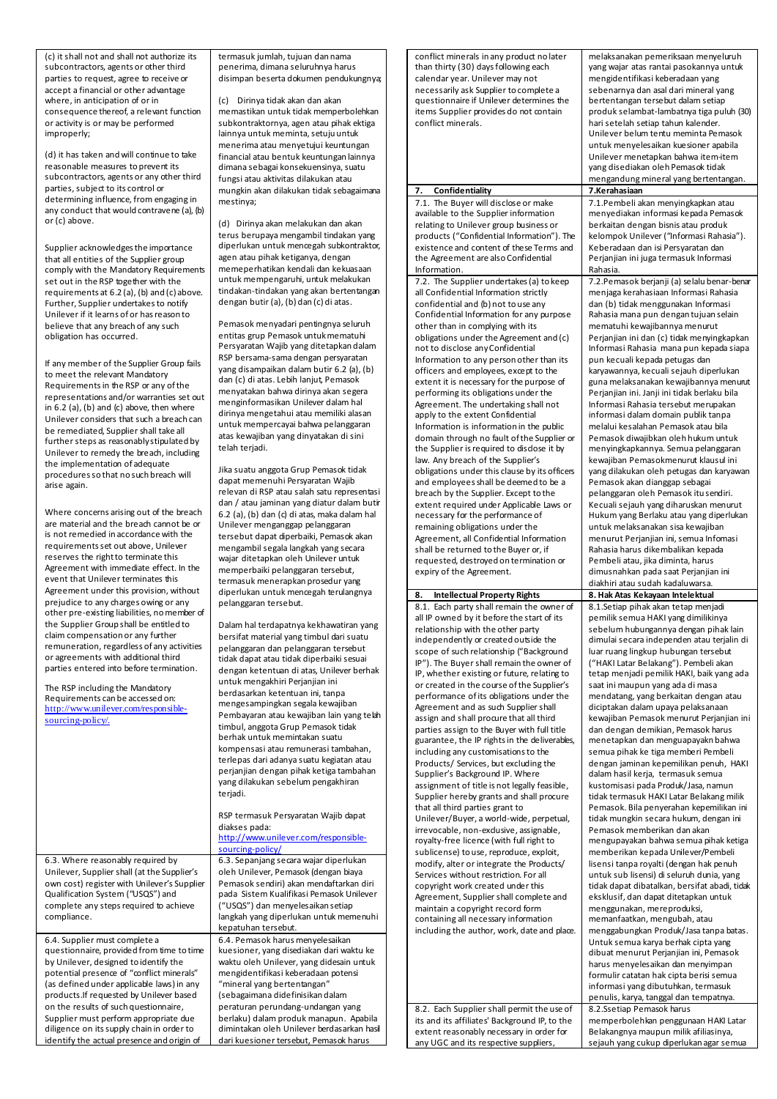(c) it shall not and shall not authorize its subcontractors, agents or other third parties to request, agree to receive or accept a financial or other advantage where, in anticipation of or in consequence thereof, a relevant function or activity is or may be performed improperly;

(d) it has taken and will continue to take reasonable measures to prevent its subcontractors, agents or any other third parties, subject to its control or determining influence, from engaging in any conduct that would contravene (a), (b) or (c) above.

Supplier acknowledges the importance that all entities of the Supplier group comply with the Mandatory Requirements set out in the RSP together with the requirements at 6.2 (a), (b) and (c) above. Further, Supplier undertakes to notify Unilever if it learns of or has reason to believe that any breach of any such obligation has occurred.

If any member of the Supplier Group fails to meet the relevant Mandatory Requirements in the RSP or any of the representations and/or warranties set out in  $6.2$  (a), (b) and (c) above, then where Unilever considers that such a breach can be remediated, Supplier shall take all further steps as reasonably stipulated by Unilever to remedy the breach, including the implementation of adequate procedures so that no such breach will arise again.

Where concerns arising out of the breach are material and the breach cannot be or is not remedied in accordance with the requirements set out above, Unilever reserves the right to terminate this Agreement with immediate effect. In the event that Unilever terminates this Agreement under this provision, without prejudice to any charges owing or any other pre-existing liabilities, no member of the Supplier Group shall be entitled to claim compensation or any further remuneration, regardless of any activities or agreements with additional third parties entered into before termination.

The RSP including the Mandatory Requirements can be accessed on: [http://www.unilever.com/responsible](http://www.unilever.com/responsible-sourcing-policy/)[sourcing-policy/](http://www.unilever.com/responsible-sourcing-policy/).

6.3. Where reasonably required by Unilever, Supplier shall (at the Supplier's own cost) register with Unilever's Supplier Qualification System ("USQS") and complete any steps required to achieve

6.4. Supplier must complete a questionnaire, provided from time to time by Unilever, designed to identify the potential presence of "conflict minerals" (as defined under applicable laws) in any products.If requested by Unilever based on the results of such questionnaire, Supplier must perform appropriate due diligence on its supply chain in order to identify the actual presence and origin of

compliance.

termasuk jumlah, tujuan dan nama penerima, dimana seluruhnya harus disimpan beserta dokumen pendukungnya;

(c) Dirinya tidak akan dan akan memastikan untuk tidak memperbolehkan subkontraktornya, agen atau pihak ektiga lainnya untuk meminta, setuju untuk menerima atau menyetujui keuntungan financial atau bentuk keuntungan lainnya dimana sebagai konsekuensinya, suatu fungsi atau aktivitas dilakukan atau mungkin akan dilakukan tidak sebagaimana mestinya;

(d) Dirinya akan melakukan dan akan terus berupaya mengambil tindakan yang diperlukan untuk mencegah subkontraktor, agen atau pihak ketiganya, dengan memeperhatikan kendali dan kekuasaan untuk mempengaruhi, untuk melakukan tindakan-tindakan yang akan bertentangan dengan butir (a), (b) dan (c) di atas.

Pemasok menyadari pentingnya seluruh entitas grup Pemasok untuk mematuhi Persyaratan Wajib yang ditetapkan dalam RSP bersama-sama dengan persyaratan yang disampaikan dalam butir 6.2 (a), (b) dan (c) di atas. Lebih lanjut, Pemasok menyatakan bahwa dirinya akan segera menginformasikan Unilever dalam hal dirinya mengetahui atau memiliki alasan untuk mempercayai bahwa pelanggaran atas kewajiban yang dinyatakan di sini telah teriadi.

Jika suatu anggota Grup Pemasok tidak dapat memenuhi Persyaratan Wajib relevan di RSP atau salah satu representasi dan / atau jaminan yang diatur dalam butir 6.2 (a), (b) dan (c) di atas, maka dalam hal Unilever menganggap pelanggaran tersebut dapat diperbaiki, Pemasok akan mengambil segala langkah yang secara wajar ditetapkan oleh Unilever untuk memperbaiki pelanggaran tersebut, termasuk menerapkan prosedur yang diperlukan untuk mencegah terulangnya pelanggaran tersebut.

Dalam hal terdapatnya kekhawatiran yang bersifat material yang timbul dari suatu pelanggaran dan pelanggaran tersebut tidak dapat atau tidak diperbaiki sesuai dengan ketentuan di atas, Unilever berhak untuk mengakhiri Perjanjian ini berdasarkan ketentuan ini, tanpa mengesampingkan segala kewajiban Pembayaran atau kewajiban lain yang telah timbul, anggota Grup Pemasok tidak berhak untuk memintakan suatu kompensasi atau remunerasi tambahan, terlepas dari adanya suatu kegiatan atau perjanjian dengan pihak ketiga tambahan yang dilakukan sebelum pengakhiran terjadi.

RSP termasuk Persyaratan Wajib dapat diakses pada:

[http://www.unilever.com/responsible](https://urldefense.proofpoint.com/v2/url?u=http-3A__www.unilever.com_responsible-2Dsourcing-2Dpolicy_&d=CwMFAg&c=4ZIZThykDLcoWk-GVjSLm9hvvvzvGv0FLoWSRuCSs5Q&r=DG0-kGDbttCeGB1KzsKWALNmjjFFjl1me-wrRxCGvXLXPSTCHm6iQ41l7Ws7K2ul&m=vsgcwuSGsCGyBeXZrTCZLjZXyvrP3-ecAhG6zGw2MPk&s=l5DPSJwjftDjrROD2xpL1K_XwZQi2j_TreHRJWirWPE&e=)[sourcing-policy/](https://urldefense.proofpoint.com/v2/url?u=http-3A__www.unilever.com_responsible-2Dsourcing-2Dpolicy_&d=CwMFAg&c=4ZIZThykDLcoWk-GVjSLm9hvvvzvGv0FLoWSRuCSs5Q&r=DG0-kGDbttCeGB1KzsKWALNmjjFFjl1me-wrRxCGvXLXPSTCHm6iQ41l7Ws7K2ul&m=vsgcwuSGsCGyBeXZrTCZLjZXyvrP3-ecAhG6zGw2MPk&s=l5DPSJwjftDjrROD2xpL1K_XwZQi2j_TreHRJWirWPE&e=)

6.3. Sepanjang secara wajar diperlukan oleh Unilever, Pemasok (dengan biaya Pemasok sendiri) akan mendaftarkan diri pada Sistem Kualifikasi Pemasok Unilever ("USQS") dan menyelesaikan setiap langkah yang diperlukan untuk memenuhi kepatuhan tersebut. 6.4. Pemasok harus menyelesaikan kuesioner, yang disediakan dari waktu ke waktu oleh Unilever, yang didesain untuk mengidentifikasi keberadaan potensi "mineral yang bertentangan" (sebagaimana didefinisikan dalam peraturan perundang-undangan yang berlaku) dalam produk manapun. Apabila dimintakan oleh Unilever berdasarkan hasil dari kuesioner tersebut, Pemasok harus

conflict minerals in any product no later than thirty (30) days following each calendar year. Unilever may not necessarily ask Supplier to complete a questionnaire if Unilever determines the items Supplier provides do not contain conflict minerals.

## **7. Confidentiality**

7.1. The Buyer will disclose or make available to the Supplier information relating to Unilever group business or products ("Confidential Information"). The existence and content of these Terms and the Agreement are also Confidential Information.

7.2. The Supplier undertakes (a) to keep all Confidential Information strictly confidential and (b) not to use any Confidential Information for any purpose other than in complying with its obligations under the Agreement and (c) not to disclose any Confidential Information to any person other than its officers and employees, except to the extent it is necessary for the purpose of performing its obligations under the Agreement. The undertaking shall not apply to the extent Confidential Information is information in the public domain through no fault of the Supplier or the Supplier is required to disclose it by law. Any breach of the Supplier's obligations under this clause by its officers and employees shall be deemed to be a breach by the Supplier. Except to the extent required under Applicable Laws or necessary for the performance of remaining obligations under the Agreement, all Confidential Information shall be returned to the Buyer or, if requested, destroyed on termination or expiry of the Agreement.

**8. Intellectual Property Rights 8. Hak Atas Kekayaan Intelektual**  8.1. Each party shall remain the owner of all IP owned by it before the start of its relationship with the other party independently or created outside the scope of such relationship ("Background IP"). The Buyer shall remain the owner of IP, whether existing or future, relating to or created in the course of the Supplier's performance of its obligations under the Agreement and as such Supplier shall assign and shall procure that all third parties assign to the Buyer with full title guarantee, the IP rights in the deliverables, including any customisations to the Products/ Services, but excluding the Supplier's Background IP. Where assignment of title is not legally feasible, Supplier hereby grants and shall procure that all third parties grant to Unilever/Buyer, a world-wide, perpetual, irrevocable, non-exdusive, assignable, royalty-free licence (with full right to sublicense) to use, reproduce, exploit, modify, alter or integrate the Products/ Services without restriction. For all copyright work created under this Agreement, Supplier shall complete and maintain a copyright record form containing all necessary information including the author, work, date and place.

8.2. Each Supplier shall permit the use of its and its affiliates' Background IP, to the extent reasonably necessary in order for any UGC and its respective suppliers,

melaksanakan pemeriksaan menyeluruh yang wajar atas rantai pasokannya untuk mengidentifikasi keberadaan yang sebenarnya dan asal dari mineral yang bertentangan tersebut dalam setiap produk selambat-lambatnya tiga puluh (30) hari setelah setiap tahun kalender. Unilever belum tentu meminta Pemasok untuk menyelesaikan kuesioner apabila Unilever menetapkan bahwa item-item yang disediakan oleh Pemasok tidak mengandung mineral yang bertentangan.<br>7.Kerahasiaan 7.1.Pembeli akan menyingkapkan atau menyediakan informasi kepada Pemasok berkaitan dengan bisnis atau produk kelompok Unilever ("Informasi Rahasia"). Keberadaan dan isi Persyaratan dan Perjanjian ini juga termasuk Informasi Rahasia. 7.2.Pemasok berjanji (a) selalu benar-benar menjaga kerahasiaan Informasi Rahasia dan (b) tidak menggunakan Informasi Rahasia mana pun dengan tujuan selain mematuhi kewajibannya menurut Perjanjian ini dan (c) tidak menyingkapkan Informasi Rahasia mana pun kepada siapa pun kecuali kepada petugas dan karyawannya, kecuali sejauh diperlukan guna melaksanakan kewajibannya menurut Perjanjian ini. Janji ini tidak berlaku bila Informasi Rahasia tersebut merupakan informasi dalam domain publik tanpa melalui kesalahan Pemasok atau bila Pemasok diwajibkan oleh hukum untuk menyingkapkannya. Semua pelanggaran kewajiban Pemasokmenurut klausul ini yang dilakukan oleh petugas dan karyawan Pemasok akan dianggap sebagai pelanggaran oleh Pemasok itu sendiri. Kecuali sejauh yang diharuskan menurut Hukum yang Berlaku atau yang diperlukan untuk melaksanakan sisa kewajiban menurut Perjanjian ini, semua Infomasi Rahasia harus dikembalikan kepada Pembeli atau, jika diminta, harus dimusnahkan pada saat Perjanjian ini diakhiri atau sudah kadaluwarsa. 8.1.Setiap pihak akan tetap menjadi pemilik semua HAKI yang dimilikinya sebelum hubungannya dengan pihak lain dimulai secara independen atau terjalin di luar ruang lingkup hubungan tersebut ("HAKI Latar Belakang"). Pembeli akan tetap menjadi pemilik HAKI, baik yang ada saat ini maupun yang ada di masa mendatang, yang berkaitan dengan atau diciptakan dalam upaya pelaksanaan kewajiban Pemasok menurut Perjanjian ini dan dengan demikian, Pemasok harus menetapkan dan menguapayakn bahwa semua pihak ke tiga memberi Pembeli dengan jaminan kepemilikan penuh, HAKI dalam hasil kerja, termasuk semua kustomisasi pada Produk/Jasa, namun tidak termasuk HAKI Latar Belakang milik Pemasok. Bila penyerahan kepemilikan ini tidak mungkin secara hukum, dengan ini Pemasok memberikan dan akan mengupayakan bahwa semua pihak ketiga memberikan kepada Unilever/Pembeli lisensi tanpa royalti (dengan hak penuh untuk sub lisensi) di seluruh dunia, yang tidak dapat dibatalkan, bersifat abadi, tidak eksklusif, dan dapat ditetapkan untuk menggunakan, mereproduksi, memanfaatkan, mengubah, atau menggabungkan Produk/Jasa tanpa batas. Untuk semua karya berhak cipta yang dibuat menurut Perjanjian ini, Pemasok harus menyelesaikan dan menyimpan formulir catatan hak cipta berisi semua informasi yang dibutuhkan, termasuk penulis, karya, tanggal dan tempatnya. 8.2.Ssetiap Pemasok harus memperbolehkan penggunaan HAKI Latar Belakangnya maupun milik afiliasinya,

sejauh yang cukup diperlukan agar semua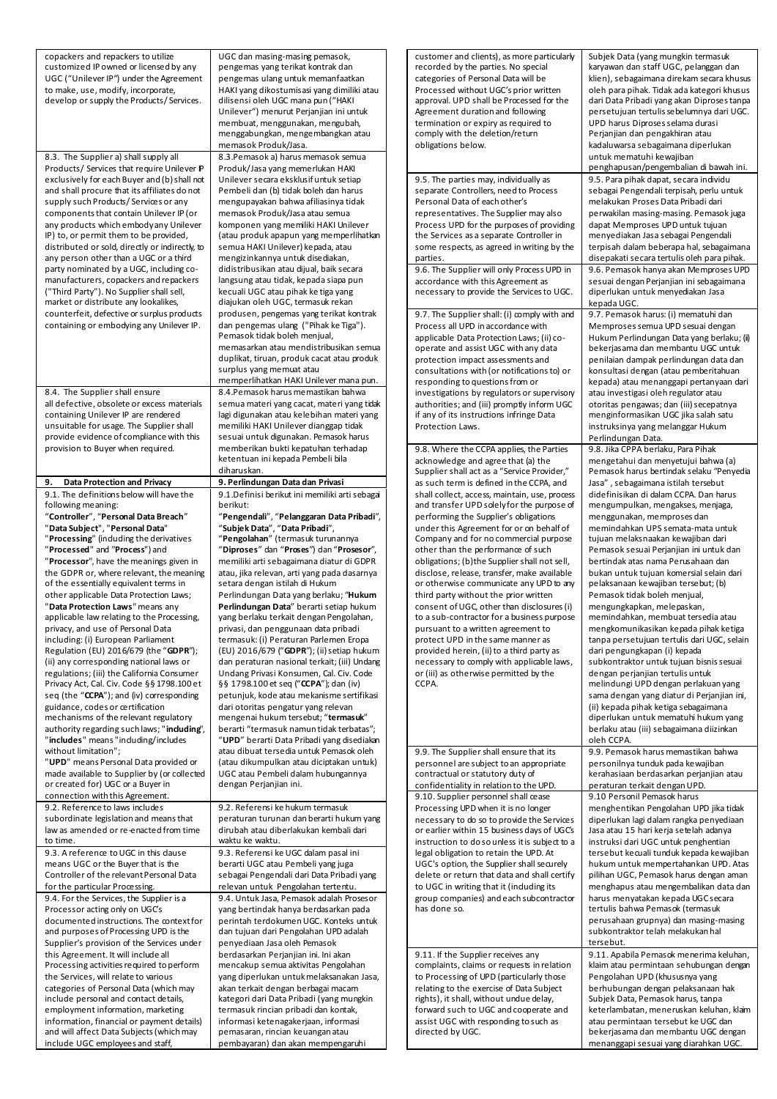| copackers and repackers to utilize<br>customized IP owned or licensed by any<br>UGC ("Unilever IP") under the Agreement<br>to make, use, modify, incorporate,<br>develop or supply the Products/Services.<br>8.3. The Supplier a) shall supply all                                                                                                                                                                                                                                                                                                                                                                                                                                                                                                                                                                                                                                                                                                                                                                                                                    | UGC dan masing-masing pemasok,<br>pengemas yang terikat kontrak dan<br>pengemas ulang untuk memanfaatkan<br>HAKI yang dikostumisasi yang dimiliki atau<br>dilisensi oleh UGC mana pun ("HAKI<br>Unilever") menurut Perjanjian ini untuk<br>membuat, menggunakan, mengubah,<br>menggabungkan, mengembangkan atau<br>memasok Produk/Jasa.<br>8.3. Pemasok a) harus memasok semua                                                                                                                                                                                                                                                                                                                                                                                                                                                                                                                                                                                                                                                                                                                                                                             | customer and clients), as more particularly<br>recorded by the parties. No special<br>categories of Personal Data will be<br>Processed without UGC's prior written<br>approval. UPD shall be Processed for the<br>Agreement duration and following<br>termination or expiry as required to<br>comply with the deletion/return<br>obligations below.                                                                                                                                                                                                                                                                                                                                                                                                                                                                                                                                                                                                                                            | Subjek Data (yang mungkin termasuk<br>karyawan dan staff UGC, pelanggan dan<br>klien), sebagaimana direkam secara khusus<br>oleh para pihak. Tidak ada kategori khusus<br>dari Data Pribadi yang akan Diproses tanpa<br>persetujuan tertulis sebelumnya dari UGC.<br>UPD harus Diproses selama durasi<br>Perjanjian dan pengakhiran atau<br>kadaluwarsa sebagaimana diperlukan<br>untuk mematuhi kewajiban                                                                                                                                                                                                                                                                                                                                                                                                                                                                                                                                                                                                                                                                                                  |  |
|-----------------------------------------------------------------------------------------------------------------------------------------------------------------------------------------------------------------------------------------------------------------------------------------------------------------------------------------------------------------------------------------------------------------------------------------------------------------------------------------------------------------------------------------------------------------------------------------------------------------------------------------------------------------------------------------------------------------------------------------------------------------------------------------------------------------------------------------------------------------------------------------------------------------------------------------------------------------------------------------------------------------------------------------------------------------------|------------------------------------------------------------------------------------------------------------------------------------------------------------------------------------------------------------------------------------------------------------------------------------------------------------------------------------------------------------------------------------------------------------------------------------------------------------------------------------------------------------------------------------------------------------------------------------------------------------------------------------------------------------------------------------------------------------------------------------------------------------------------------------------------------------------------------------------------------------------------------------------------------------------------------------------------------------------------------------------------------------------------------------------------------------------------------------------------------------------------------------------------------------|------------------------------------------------------------------------------------------------------------------------------------------------------------------------------------------------------------------------------------------------------------------------------------------------------------------------------------------------------------------------------------------------------------------------------------------------------------------------------------------------------------------------------------------------------------------------------------------------------------------------------------------------------------------------------------------------------------------------------------------------------------------------------------------------------------------------------------------------------------------------------------------------------------------------------------------------------------------------------------------------|-------------------------------------------------------------------------------------------------------------------------------------------------------------------------------------------------------------------------------------------------------------------------------------------------------------------------------------------------------------------------------------------------------------------------------------------------------------------------------------------------------------------------------------------------------------------------------------------------------------------------------------------------------------------------------------------------------------------------------------------------------------------------------------------------------------------------------------------------------------------------------------------------------------------------------------------------------------------------------------------------------------------------------------------------------------------------------------------------------------|--|
| Products/ Services that require Unilever IP<br>exclusively for each Buyer and (b) shall not<br>and shall procure that its affiliates donot<br>supply such Products/Services or any<br>components that contain Unilever IP (or<br>any products which embody any Unilever<br>IP) to, or permit them to be provided,<br>distributed or sold, directly or indirectly, to<br>any person other than a UGC or a third<br>party nominated by a UGC, including co-<br>manufacturers, copackers and repackers<br>("Third Party"). No Supplier shall sell,<br>market or distribute any lookalikes,<br>counterfeit, defective or surplus products<br>containing or embodying any Unilever IP.                                                                                                                                                                                                                                                                                                                                                                                     | Produk/Jasa yang memerlukan HAKI<br>Unilever secara eksklusif untuk setiap<br>Pembeli dan (b) tidak boleh dan harus<br>mengupayakan bahwa afiliasinya tidak<br>memasok Produk/Jasa atau semua<br>komponen yang memiliki HAKI Unilever<br>(atau produk apapun yang memperlihatkan<br>semua HAKI Unilever) kepada, atau<br>mengizinkannya untuk disediakan,<br>didistribusikan atau dijual, baik secara<br>langsung atau tidak, kepada siapa pun<br>kecuali UGC atau pihak ke tiga yang<br>diajukan oleh UGC, termasuk rekan<br>produsen, pengemas yang terikat kontrak<br>dan pengemas ulang ("Pihak ke Tiga").<br>Pemasok tidak boleh menjual,<br>memasarkan atau mendistribusikan semua<br>duplikat, tiruan, produk cacat atau produk<br>surplus yang memuat atau<br>memperlihatkan HAKI Unilever mana pun.                                                                                                                                                                                                                                                                                                                                               | 9.5. The parties may, individually as<br>separate Controllers, need to Process<br>Personal Data of each other's<br>representatives. The Supplier may also<br>Process UPD for the purposes of providing<br>the Services as a separate Controller in<br>some respects, as agreed in writing by the<br>parties.<br>9.6. The Supplier will only Process UPD in<br>accordance with this Agreement as<br>necessary to provide the Services to UGC.<br>9.7. The Supplier shall: (i) comply with and<br>Process all UPD in accordance with<br>applicable Data Protection Laws; (ii) co-<br>operate and assist UGC with any data<br>protection impact assessments and<br>consultations with (or notifications to) or<br>responding to questions from or                                                                                                                                                                                                                                                 | penghapusan/pengembalian di bawah ini.<br>9.5. Para pihak dapat, secara individu<br>sebagai Pengendali terpisah, perlu untuk<br>melakukan Proses Data Pribadi dari<br>perwakilan masing-masing. Pemasok juga<br>dapat Memproses UPD untuk tujuan<br>menyediakan Jasa sebagai Pengendali<br>terpisah dalam beberapa hal, sebagaimana<br>disepakati secara tertulis oleh para pihak.<br>9.6. Pemasok hanya akan Memproses UPD<br>sesuai dengan Perjanjian ini sebagaimana<br>diperlukan untuk menyediakan Jasa<br>kepada UGC.<br>9.7. Pemasok harus: (i) mematuhi dan<br>Memproses semua UPD sesuai dengan<br>Hukum Perlindungan Data yang berlaku; (ii)<br>bekerjasama dan membantu UGC untuk<br>penilaian dampak perlindungan data dan<br>konsultasi dengan (atau pemberitahuan<br>kepada) atau menanggapi pertanyaan dari                                                                                                                                                                                                                                                                                  |  |
| 8.4. The Supplier shall ensure<br>all defective, obsolete or excess materials<br>containing Unilever IP are rendered<br>unsuitable for usage. The Supplier shall<br>provide evidence of compliance with this                                                                                                                                                                                                                                                                                                                                                                                                                                                                                                                                                                                                                                                                                                                                                                                                                                                          | 8.4. Pemasok harus memastikan bahwa<br>semua materi yang cacat, materi yang tidak<br>lagi digunakan atau kelebihan materi yang<br>memiliki HAKI Unilever dianggap tidak<br>sesuai untuk digunakan. Pemasok harus                                                                                                                                                                                                                                                                                                                                                                                                                                                                                                                                                                                                                                                                                                                                                                                                                                                                                                                                           | investigations by regulators or supervisory<br>authorities; and (iii) promptly inform UGC<br>if any of its instructions infringe Data<br>Protection Laws.                                                                                                                                                                                                                                                                                                                                                                                                                                                                                                                                                                                                                                                                                                                                                                                                                                      | atau investigasi oleh regulator atau<br>otoritas pengawas; dan (iii) secepatnya<br>menginformasikan UGC jika salah satu<br>instruksinya yang melanggar Hukum<br>Perlindungan Data.                                                                                                                                                                                                                                                                                                                                                                                                                                                                                                                                                                                                                                                                                                                                                                                                                                                                                                                          |  |
| provision to Buyer when required.<br><b>Data Protection and Privacy</b><br>9.<br>9.1. The definitions below will have the<br>following meaning:<br>"Controller", "Personal Data Breach"<br>"Data Subject", "Personal Data"<br>"Processing" (induding the derivatives<br>"Processed" and "Process") and<br>"Processor", have the meanings given in<br>the GDPR or, where relevant, the meaning<br>of the essentially equivalent terms in<br>other applicable Data Protection Laws;<br>"Data Protection Laws" means any<br>applicable law relating to the Processing,<br>privacy, and use of Personal Data<br>including: (i) European Parliament<br>Regulation (EU) 2016/679 (the "GDPR");<br>(ii) any corresponding national laws or<br>regulations; (iii) the California Consumer<br>Privacy Act, Cal. Civ. Code §§ 1798.100 et<br>seq (the "CCPA"); and (iv) corresponding<br>guidance, codes or certification<br>mechanisms of the relevant regulatory<br>authority regarding such laws; "induding",<br>"includes" means "induding/includes<br>without limitation"; | memberikan bukti kepatuhan terhadap<br>ketentuan ini kepada Pembeli bila<br>diharuskan.<br>9. Perlindungan Data dan Privasi<br>9.1. Definisi berikut ini memiliki arti sebagai<br>berikut:<br>"Pengendali", "Pelanggaran Data Pribadi",<br>"Subjek Data", "Data Pribadi",<br>"Pengolahan" (termasuk turunannya<br>"Diproses" dan "Proses") dan "Prosesor",<br>memiliki arti sebagaimana diatur di GDPR<br>atau, jika relevan, arti yang pada dasarnya<br>setara dengan istilah di Hukum<br>Perlindungan Data yang berlaku; "Hukum<br>Perlindungan Data" berarti setiap hukum<br>yang berlaku terkait dengan Pengolahan,<br>privasi, dan penggunaan data pribadi<br>termasuk: (i) Peraturan Parlemen Eropa<br>(EU) 2016/679 ("GDPR"); (ii) setiap hukum<br>dan peraturan nasional terkait; (iii) Undang<br>Undang Privasi Konsumen, Cal. Civ. Code<br>§§ 1798.100 et seq ("CCPA"); dan (iv)<br>petunjuk, kode atau mekanisme sertifikasi<br>dari otoritas pengatur yang relevan<br>mengenai hukum tersebut; "termasuk"<br>berarti "termasuk namun tidak terbatas";<br>"UPD" berarti Data Pribadi yang disediakan<br>atau dibuat tersedia untuk Pemasok oleh | 9.8. Where the CCPA applies, the Parties<br>acknowledge and agree that (a) the<br>Supplier shall act as a "Service Provider,"<br>as such term is defined in the CCPA, and<br>shall collect, access, maintain, use, process<br>and transfer UPD solely for the purpose of<br>performing the Supplier's obligations<br>under this Agreement for or on behalf of<br>Company and for no commercial purpose<br>other than the performance of such<br>obligations; (b)the Supplier shall not sell,<br>disclose, release, transfer, make available<br>or otherwise communicate any UPD to any<br>third party without the prior written<br>consent of UGC, other than disclosures (i)<br>to a sub-contractor for a business purpose<br>pursuant to a written agreement to<br>protect UPD in the same manner as<br>provided herein, (ii) to a third party as<br>necessary to comply with applicable laws,<br>or (iii) as otherwise permitted by the<br>CCPA.<br>9.9. The Supplier shall ensure that its | 9.8. Jika CPPA berlaku, Para Pihak<br>mengetahui dan menyetujui bahwa (a)<br>Pemasok harus bertindak selaku "Penyedia<br>Jasa", sebagaimana istilah tersebut<br>didefinisikan di dalam CCPA. Dan harus<br>mengumpulkan, mengakses, menjaga,<br>menggunakan, memproses dan<br>memindahkan UPS semata-mata untuk<br>tujuan melaksnaakan kewajiban dari<br>Pemasok sesuai Perjanjian ini untuk dan<br>bertindak atas nama Perusahaan dan<br>bukan untuk tujuan komersial selain dari<br>pelaksanaan kewajiban tersebut; (b)<br>Pemasok tidak boleh menjual,<br>mengungkapkan, melepaskan,<br>memindahkan, membuat tersedia atau<br>mengkomunikasikan kepada pihak ketiga<br>tanpa persetujuan tertulis dari UGC, selain<br>dari pengungkapan (i) kepada<br>subkontraktor untuk tujuan bisnis sesuai<br>dengan perjanjian tertulis untuk<br>melindungi UPD dengan perlakuan yang<br>sama dengan yang diatur di Perjanjian ini,<br>(ii) kepada pihak ketiga sebagaimana<br>diperlukan untuk mematuhi hukum yang<br>berlaku atau (iii) sebagaimana diizinkan<br>oleh CCPA.<br>9.9. Pemasok harus memastikan bahwa |  |
| "UPD" means Personal Data provided or<br>made available to Supplier by (or collected<br>or created for) UGC or a Buyer in<br>connection with this Agreement.                                                                                                                                                                                                                                                                                                                                                                                                                                                                                                                                                                                                                                                                                                                                                                                                                                                                                                          | (atau dikumpulkan atau diciptakan untuk)<br>UGC atau Pembeli dalam hubungannya<br>dengan Perjanjian ini.                                                                                                                                                                                                                                                                                                                                                                                                                                                                                                                                                                                                                                                                                                                                                                                                                                                                                                                                                                                                                                                   | personnel are subject to an appropriate<br>contractual or statutory duty of<br>confidentiality in relation to the UPD.<br>9.10. Supplier personnel shall cease                                                                                                                                                                                                                                                                                                                                                                                                                                                                                                                                                                                                                                                                                                                                                                                                                                 | personilnya tunduk pada kewajiban<br>kerahasiaan berdasarkan perjanjian atau<br>peraturan terkait dengan UPD.<br>9.10 Personil Pemasok harus                                                                                                                                                                                                                                                                                                                                                                                                                                                                                                                                                                                                                                                                                                                                                                                                                                                                                                                                                                |  |
| 9.2. Reference to laws includes<br>subordinate legislation and means that<br>law as amended or re-enacted from time<br>to time.<br>9.3. A reference to UGC in this clause<br>means UGC or the Buyer that is the<br>Controller of the relevant Personal Data<br>for the particular Processing.<br>9.4. For the Services, the Supplier is a<br>Processor acting only on UGC's<br>documented instructions. The context for<br>and purposes of Processing UPD is the<br>Supplier's provision of the Services under<br>this Agreement. It will include all<br>Processing activities required to perform<br>the Services, will relate to various<br>categories of Personal Data (which may<br>include personal and contact details,<br>employment information, marketing<br>information, financial or payment details)<br>and will affect Data Subjects (which may<br>include UGC employees and staff,                                                                                                                                                                      | 9.2. Referensi ke hukum termasuk<br>peraturan turunan dan berarti hukum yang<br>dirubah atau diberlakukan kembali dari<br>waktu ke waktu.<br>9.3. Referensi ke UGC dalam pasal ini<br>berarti UGC atau Pembeli yang juga<br>sebagai Pengendali dari Data Pribadi yang<br>relevan untuk Pengolahan tertentu.<br>9.4. Untuk Jasa, Pemasok adalah Prosesor<br>yang bertindak hanya berdasarkan pada<br>perintah terdokumen UGC. Konteks untuk<br>dan tujuan dari Pengolahan UPD adalah<br>penyediaan Jasa oleh Pemasok<br>berdasarkan Perjanjian ini. Ini akan<br>mencakup semua aktivitas Pengolahan<br>yang diperlukan untuk melaksanakan Jasa,<br>akan terkait dengan berbagai macam<br>kategori dari Data Pribadi (yang mungkin<br>termasuk rincian pribadi dan kontak,<br>informasi ketenagakerjaan, informasi<br>pemasaran, rincian keuangan atau<br>pembayaran) dan akan mempengaruhi                                                                                                                                                                                                                                                                  | Processing UPD when it is no longer<br>necessary to do so to provide the Services<br>or earlier within 15 business days of UGC's<br>instruction to do so unless it is subject to a<br>legal obligation to retain the UPD. At<br>UGC's option, the Supplier shall securely<br>delete or return that data and shall certify<br>to UGC in writing that it (induding its<br>group companies) and each subcontractor<br>has done so.<br>9.11. If the Supplier receives any<br>complaints, claims or requests in relation<br>to Processing of UPD (particularly those<br>relating to the exercise of Data Subject<br>rights), it shall, without undue delay,<br>forward such to UGC and cooperate and<br>assist UGC with responding to such as<br>directed by UGC.                                                                                                                                                                                                                                   | menghentikan Pengolahan UPD jika tidak<br>diperlukan lagi dalam rangka penyediaan<br>Jasa atau 15 hari kerja setelah adanya<br>instruksi dari UGC untuk penghentian<br>tersebut kecuali tunduk kepada kewajiban<br>hukum untuk mempertahankan UPD. Atas<br>pilihan UGC, Pemasok harus dengan aman<br>menghapus atau mengembalikan data dan<br>harus menyatakan kepada UGC secara<br>tertulis bahwa Pemasok (termasuk<br>perusahaan grupnya) dan masing-masing<br>subkontraktor telah melakukan hal<br>tersebut.<br>9.11. Apabila Pemasok menerima keluhan,<br>klaim atau permintaan sehubungan dengan<br>Pengolahan UPD (khususnya yang<br>berhubungan dengan pelaksanaan hak<br>Subjek Data, Pemasok harus, tanpa<br>keterlambatan, meneruskan keluhan, klaim<br>atau permintaan tersebut ke UGC dan<br>bekerjasama dan membantu UGC dengan<br>menanggapi sesuai yang diarahkan UGC.                                                                                                                                                                                                                       |  |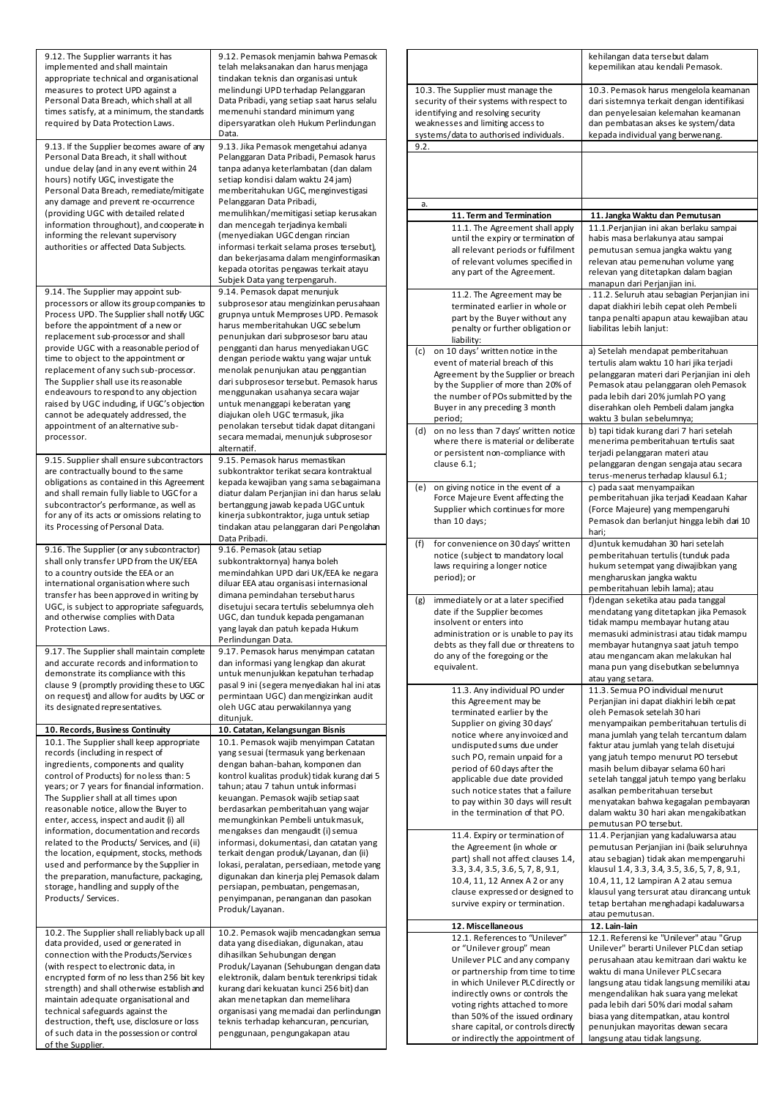| 9.12. The Supplier warrants it has<br>implemented and shall maintain<br>appropriate technical and organisational | 9.12. Pemasok menjamin bahwa Pemasok<br>telah melaksanakan dan harus menjaga<br>tindakan teknis dan organisasi untuk |                                                |
|------------------------------------------------------------------------------------------------------------------|----------------------------------------------------------------------------------------------------------------------|------------------------------------------------|
| measures to protect UPD against a                                                                                | melindungi UPD terhadap Pelanggaran                                                                                  | 10.3. The Supplier mu                          |
| Personal Data Breach, which shall at all                                                                         | Data Pribadi, yang setiap saat harus selalu                                                                          | security of their syste                        |
| times satisfy, at a minimum, the standards<br>required by Data Protection Laws.                                  | memenuhi standard minimum yang<br>dipersyaratkan oleh Hukum Perlindungan                                             | identifying and resoly<br>weaknesses and limit |
|                                                                                                                  | Data.                                                                                                                | systems/data to auth                           |
| 9.13. If the Supplier becomes aware of any                                                                       | 9.13. Jika Pemasok mengetahui adanya                                                                                 | 9.2.                                           |
| Personal Data Breach, it shall without<br>undue delay (and in any event within 24                                | Pelanggaran Data Pribadi, Pemasok harus<br>tanpa adanya keterlambatan (dan dalam                                     |                                                |
| hours) notify UGC, investigate the                                                                               | setiap kondisi dalam waktu 24 jam)                                                                                   |                                                |
| Personal Data Breach, remediate/mitigate                                                                         | memberitahukan UGC, menginvestigasi                                                                                  |                                                |
| any damage and prevent re-occurrence<br>(providing UGC with detailed related                                     | Pelanggaran Data Pribadi,<br>memulihkan/memitigasi setiap kerusakan                                                  | а.<br>11. Term an                              |
| information throughout), and cooperate in                                                                        | dan mencegah terjadinya kembali                                                                                      | 11.1. The A                                    |
| informing the relevant supervisory                                                                               | (menyediakan UGC dengan rincian                                                                                      | until the ex                                   |
| authorities or affected Data Subjects.                                                                           | informasi terkait selama proses tersebut),<br>dan bekerjasama dalam menginformasikan                                 | all relevant                                   |
|                                                                                                                  | kepada otoritas pengawas terkait atayu                                                                               | of relevant<br>any part of t                   |
| 9.14. The Supplier may appoint sub-                                                                              | Subjek Data yang terpengaruh.<br>9.14. Pemasok dapat menunjuk                                                        |                                                |
| processors or allow its group companies to                                                                       | subprosesor atau mengizinkan perusahaan                                                                              | 11.2. The A<br>terminated                      |
| Process UPD. The Supplier shall notify UGC                                                                       | grupnya untuk Memproses UPD. Pemasok                                                                                 | part by the                                    |
| before the appointment of a new or<br>replacement sub-processor and shall                                        | harus memberitahukan UGC sebelum<br>penunjukan dari subprosesor baru atau                                            | penalty or f                                   |
| provide UGC with a reasonable period of                                                                          | pengganti dan harus menyediakan UGC                                                                                  | liability:<br>on 10 days' writt<br>(c)         |
| time to object to the appointment or                                                                             | dengan periode waktu yang wajar untuk                                                                                | event of materia                               |
| replacement of any such sub-processor.<br>The Supplier shall use its reasonable                                  | menolak penunjukan atau penggantian<br>dari subprosesor tersebut. Pemasok harus                                      | Agreement by th                                |
| endeavours to respond to any objection                                                                           | menggunakan usahanya secara wajar                                                                                    | by the Supplier<br>the number of P             |
| raised by UGC induding, if UGC's objection                                                                       | untuk menanggapi keberatan yang                                                                                      | Buyer in any pre                               |
| cannot be adequately addressed, the<br>appointment of an alternative sub-                                        | diajukan oleh UGC termasuk, jika<br>penolakan tersebut tidak dapat ditangani                                         | period:                                        |
| processor.                                                                                                       | secara memadai, menunjuk subprosesor                                                                                 | on no less than<br>(d)<br>where there is n     |
|                                                                                                                  | alternatif.                                                                                                          | or persistent no                               |
| 9.15. Supplier shall ensure subcontractors<br>are contractually bound to the same                                | 9.15. Pemasok harus memastikan<br>subkontraktor terikat secara kontraktual                                           | clause 6.1;                                    |
| obligations as contained in this Agreement                                                                       | kepada kewajiban yang sama sebagaimana                                                                               | (e)<br>on giving notice                        |
| and shall remain fully liable to UGC for a                                                                       | diatur dalam Perjanjian ini dan harus selalu                                                                         | Force Majeure E                                |
| subcontractor's performance, as well as<br>for any of its acts or omissions relating to                          | bertanggung jawab kepada UGC untuk<br>kinerja subkontraktor, juga untuk setiap                                       | Supplier which c                               |
| its Processing of Personal Data.                                                                                 | tindakan atau pelanggaran dari Pengolahan                                                                            | than 10 days;                                  |
|                                                                                                                  | Data Pribadi.                                                                                                        | (f)<br>for convenience                         |
| 9.16. The Supplier (or any subcontractor)<br>shall only transfer UPD from the UK/EEA                             | 9.16. Pemasok (atau setiap<br>subkontraktornya) hanya boleh                                                          | notice (subject t                              |
| to a country outside the EEA or an                                                                               | memindahkan UPD dari UK/EEA ke negara                                                                                | laws requiring a<br>period); or                |
| international organisation where such<br>transfer has been approved in writing by                                | diluar EEA atau organisasi internasional<br>dimana pemindahan tersebut harus                                         |                                                |
| UGC, is subject to appropriate safeguards,                                                                       | disetujui secara tertulis sebelumnya oleh                                                                            | immediately or a<br>(g)                        |
| and otherwise complies with Data                                                                                 | UGC, dan tunduk kepada pengamanan                                                                                    | date if the Suppl<br>insolvent or ente         |
| Protection Laws.                                                                                                 | yang layak dan patuh kepada Hukum<br>Perlindungan Data.                                                              | administration o                               |
| 9.17. The Supplier shall maintain complete                                                                       | 9.17. Pemasok harus menyimpan catatan                                                                                | debts as they fal<br>do any of the for         |
| and accurate records and information to                                                                          | dan informasi yang lengkap dan akurat                                                                                | equivalent.                                    |
| demonstrate its compliance with this<br>clause 9 (promptly providing these to UGC                                | untuk menunjukkan kepatuhan terhadap<br>pasal 9 ini (segera menyediakan hal ini atas                                 |                                                |
| on request) and allow for audits by UGC or                                                                       | permintaan UGC) dan mengizinkan audit                                                                                | $11.3$ . Any in<br>this Agreem                 |
| its designated representatives.                                                                                  | oleh UGC atau perwakilannya yang                                                                                     | terminated                                     |
| 10. Records, Business Continuity                                                                                 | ditunjuk.<br>10. Catatan, Kelangsungan Bisnis                                                                        | Supplier on                                    |
| 10.1. The Supplier shall keep appropriate                                                                        | 10.1. Pemasok wajib menyimpan Catatan                                                                                | notice wher<br>undisputed                      |
| records (including in respect of                                                                                 | yang sesuai (termasuk yang berkenaan                                                                                 | such PO, re                                    |
| ingredients, components and quality<br>control of Products) for noless than: 5                                   | dengan bahan-bahan, komponen dan<br>kontrol kualitas produk) tidak kurang dari 5                                     | period of 6                                    |
| years; or 7 years for financial information.                                                                     | tahun; atau 7 tahun untuk informasi                                                                                  | applicable c<br>such notice                    |
| The Supplier shall at all times upon                                                                             | keuangan. Pemasok wajib setiap saat                                                                                  | to pay withi                                   |
| reasonable notice, allow the Buyer to<br>enter, access, inspect and audit (i) all                                | berdasarkan pemberitahuan yang wajar<br>memungkinkan Pembeli untuk masuk,                                            | in the termi                                   |
| information, documentation and records                                                                           | mengakses dan mengaudit (i) semua                                                                                    | 11.4. Expiry                                   |
| related to the Products/ Services, and (ii)<br>the location, equipment, stocks, methods                          | informasi, dokumentasi, dan catatan yang<br>terkait dengan produk/Layanan, dan (ii)                                  | the Agreem                                     |
| used and performance by the Supplier in                                                                          | lokasi, peralatan, persediaan, metode yang                                                                           | part) shall n<br>3.3, 3.4, 3.5                 |
| the preparation, manufacture, packaging,                                                                         | digunakan dan kinerja plej Pemasok dalam                                                                             | 10.4, 11, 12                                   |
| storage, handling and supply of the<br>Products/ Services.                                                       | persiapan, pembuatan, pengemasan,<br>penyimpanan, penanganan dan pasokan                                             | clause expr                                    |
|                                                                                                                  | Produk/Layanan.                                                                                                      | survive exp                                    |
|                                                                                                                  |                                                                                                                      | 12. Miscella                                   |
| 10.2. The Supplier shall reliably back up all<br>data provided, used or generated in                             | 10.2. Pemasok wajib mencadangkan semua<br>data yang disediakan, digunakan, atau                                      | 12.1. Refer                                    |
| connection with the Products/Services                                                                            | dihasilkan Sehubungan dengan                                                                                         | or "Unileve<br>Unilever PL                     |
| (with respect to electronic data, in                                                                             | Produk/Layanan (Sehubungan dengan data                                                                               | or partners!                                   |
| encrypted form of no less than 256 bit key<br>strength) and shall otherwise establish and                        | elektronik, dalam bentuk terenkripsi tidak<br>kurang dari kekuatan kunci 256 bit) dan                                | in which Un                                    |
| maintain adequate organisational and                                                                             | akan menetapkan dan memelihara                                                                                       | indirectly or<br>voting right:                 |
| technical safeguards against the<br>destruction, theft, use, disclosure or loss                                  | organisasi yang memadai dan perlindungan<br>teknis terhadap kehancuran, pencurian,                                   | than 50% of                                    |
| of such data in the possession or control                                                                        | penggunaan, pengungakapan atau                                                                                       | share capita                                   |
| of the Supplier.                                                                                                 |                                                                                                                      | or indirectly                                  |

|                                                                         |                                                                          | kehilangan data tersebut dalam<br>kepemilikan atau kendali Pemasok.                    |  |  |
|-------------------------------------------------------------------------|--------------------------------------------------------------------------|----------------------------------------------------------------------------------------|--|--|
|                                                                         | 10.3. The Supplier must manage the                                       | 10.3. Pemasok harus mengelola keamanan                                                 |  |  |
|                                                                         | security of their systems with respect to                                | dari sistemnya terkait dengan identifikasi                                             |  |  |
| identifying and resolving security<br>weaknesses and limiting access to |                                                                          | dan penyelesaian kelemahan keamanan                                                    |  |  |
|                                                                         | systems/data to authorised individuals.                                  | dan pembatasan akses ke system/data<br>kepada individual yang berwenang.               |  |  |
| 9.2.                                                                    |                                                                          |                                                                                        |  |  |
|                                                                         |                                                                          |                                                                                        |  |  |
|                                                                         |                                                                          |                                                                                        |  |  |
|                                                                         |                                                                          |                                                                                        |  |  |
| a.                                                                      | 11. Term and Termination                                                 | 11. Jangka Waktu dan Pemutusan                                                         |  |  |
|                                                                         | 11.1. The Agreement shall apply                                          | 11.1.Perjanjian ini akan berlaku sampai                                                |  |  |
|                                                                         | until the expiry or termination of                                       | habis masa berlakunya atau sampai                                                      |  |  |
|                                                                         | all relevant periods or fulfilment                                       | pemutusan semua jangka waktu yang                                                      |  |  |
|                                                                         | of relevant volumes specified in                                         | relevan atau pemenuhan volume yang                                                     |  |  |
|                                                                         | any part of the Agreement.                                               | relevan yang ditetapkan dalam bagian                                                   |  |  |
|                                                                         | 11.2. The Agreement may be                                               | manapun dari Perjanjian ini.<br>. 11.2. Seluruh atau sebagian Perjanjian ini           |  |  |
|                                                                         | terminated earlier in whole or                                           | dapat diakhiri lebih cepat oleh Pembeli                                                |  |  |
|                                                                         | part by the Buyer without any                                            | tanpa penalti apapun atau kewajiban atau                                               |  |  |
|                                                                         | penalty or further obligation or                                         | liabilitas lebih lanjut:                                                               |  |  |
| (c)                                                                     | liability:<br>on 10 days' written notice in the                          | a) Setelah mendapat pemberitahuan                                                      |  |  |
|                                                                         | event of material breach of this                                         | tertulis alam waktu 10 hari jika terjadi                                               |  |  |
|                                                                         | Agreement by the Supplier or breach                                      | pelanggaran materi dari Perjanjian ini oleh                                            |  |  |
|                                                                         | by the Supplier of more than 20% of                                      | Pemasok atau pelanggaran oleh Pemasok                                                  |  |  |
|                                                                         | the number of POs submitted by the                                       | pada lebih dari 20% jumlah PO yang                                                     |  |  |
|                                                                         | Buyer in any preceding 3 month<br>period;                                | diserahkan oleh Pembeli dalam jangka<br>waktu 3 bulan sebelumnya;                      |  |  |
| (d)                                                                     | on no less than 7 days' written notice                                   | b) tapi tidak kurang dari 7 hari setelah                                               |  |  |
|                                                                         | where there is material or deliberate                                    | menerima pemberitahuan tertulis saat                                                   |  |  |
|                                                                         | or persistent non-compliance with                                        | terjadi pelanggaran materi atau                                                        |  |  |
|                                                                         | clause 6.1;                                                              | pelanggaran dengan sengaja atau secara<br>terus-menerus terhadap klausul 6.1;          |  |  |
| (e)                                                                     | on giving notice in the event of a                                       | c) pada saat menyampaikan                                                              |  |  |
|                                                                         | Force Majeure Event affecting the                                        | pemberitahuan jika terjadi Keadaan Kahar                                               |  |  |
|                                                                         | Supplier which continues for more                                        | (Force Majeure) yang mempengaruhi                                                      |  |  |
|                                                                         | than 10 days;                                                            | Pemasok dan berlanjut hingga lebih dari 10                                             |  |  |
| (f)                                                                     | for convenience on 30 days' written                                      | hari;<br>d)untuk kemudahan 30 hari setelah                                             |  |  |
|                                                                         | notice (subject to mandatory local                                       | pemberitahuan tertulis (tunduk pada                                                    |  |  |
|                                                                         | laws requiring a longer notice                                           | hukum setempat yang diwajibkan yang                                                    |  |  |
|                                                                         | period); or                                                              | mengharuskan jangka waktu                                                              |  |  |
| (g)                                                                     | immediately or at a later specified                                      | pemberitahuan lebih lama); atau<br>f) dengan seketika atau pada tanggal                |  |  |
|                                                                         | date if the Supplier becomes                                             | mendatang yang ditetapkan jika Pemasok                                                 |  |  |
|                                                                         | insolvent or enters into                                                 | tidak mampu membayar hutang atau                                                       |  |  |
|                                                                         | administration or is unable to pay its                                   | memasuki administrasi atau tidak mampu                                                 |  |  |
|                                                                         | debts as they fall due or threatens to<br>do any of the foregoing or the | membayar hutangnya saat jatuh tempo<br>atau mengancam akan melakukan hal               |  |  |
|                                                                         | equivalent.                                                              | mana pun yang disebutkan sebelumnya                                                    |  |  |
|                                                                         |                                                                          | atau yang setara.                                                                      |  |  |
|                                                                         | 11.3. Any individual PO under                                            | 11.3. Semua PO individual menurut                                                      |  |  |
|                                                                         | this Agreement may be<br>terminated earlier by the                       | Perjanjian ini dapat diakhiri lebih cepat<br>oleh Pemasok setelah 30 hari              |  |  |
|                                                                         | Supplier on giving 30 days'                                              | menyampaikan pemberitahuan tertulis di                                                 |  |  |
|                                                                         | notice where any invoiced and                                            | mana jumlah yang telah tercantum dalam                                                 |  |  |
|                                                                         | undisputed sums due under                                                | faktur atau jumlah yang telah disetujui                                                |  |  |
|                                                                         | such PO, remain unpaid for a<br>period of 60 days after the              | yang jatuh tempo menurut PO tersebut<br>masih belum dibayar selama 60 hari             |  |  |
|                                                                         | applicable due date provided                                             | setelah tanggal jatuh tempo yang berlaku                                               |  |  |
|                                                                         | such notice states that a failure                                        | asalkan pemberitahuan tersebut                                                         |  |  |
|                                                                         | to pay within 30 days will result                                        | menyatakan bahwa kegagalan pembayaran                                                  |  |  |
|                                                                         | in the termination of that PO.                                           | dalam waktu 30 hari akan mengakibatkan<br>pemutusan PO tersebut.                       |  |  |
|                                                                         | 11.4. Expiry or termination of                                           | 11.4. Perjanjian yang kadaluwarsa atau                                                 |  |  |
|                                                                         | the Agreement (in whole or                                               | pemutusan Perjanjian ini (baik seluruhnya                                              |  |  |
|                                                                         | part) shall not affect clauses 1.4,                                      | atau sebagian) tidak akan mempengaruhi                                                 |  |  |
|                                                                         | 3.3, 3.4, 3.5, 3.6, 5, 7, 8, 9.1,<br>10.4, 11, 12 Annex A 2 or any       | klausul 1.4, 3.3, 3.4, 3.5, 3.6, 5, 7, 8, 9.1,<br>10.4, 11, 12 Lampiran A 2 atau semua |  |  |
|                                                                         | clause expressed or designed to                                          | klausul yang tersurat atau dirancang untuk                                             |  |  |
|                                                                         | survive expiry or termination.                                           | tetap bertahan menghadapi kadaluwarsa                                                  |  |  |
|                                                                         |                                                                          | atau pemutusan.                                                                        |  |  |
|                                                                         | 12. Miscellaneous<br>12.1. References to "Unilever"                      | 12. Lain-lain<br>12.1. Referensi ke "Unilever" atau "Grup                              |  |  |
|                                                                         | or "Unilever group" mean                                                 | Unilever" berarti Unilever PLC dan setiap                                              |  |  |
|                                                                         | Unilever PLC and any company                                             | perusahaan atau kemitraan dari waktu ke                                                |  |  |
|                                                                         | or partnership from time to time                                         | waktu di mana Unilever PLC secara                                                      |  |  |
|                                                                         | in which Unilever PLC directly or<br>indirectly owns or controls the     | langsung atau tidak langsung memiliki atau<br>mengendalikan hak suara yang melekat     |  |  |
|                                                                         | voting rights attached to more                                           | pada lebih dari 50% dari modal saham                                                   |  |  |
|                                                                         | than 50% of the issued ordinary                                          | biasa yang ditempatkan, atau kontrol                                                   |  |  |
|                                                                         | share capital, or controls directly<br>or indirectly the appointment of  | penunjukan mayoritas dewan secara<br>langsung atau tidak langsung.                     |  |  |
|                                                                         |                                                                          |                                                                                        |  |  |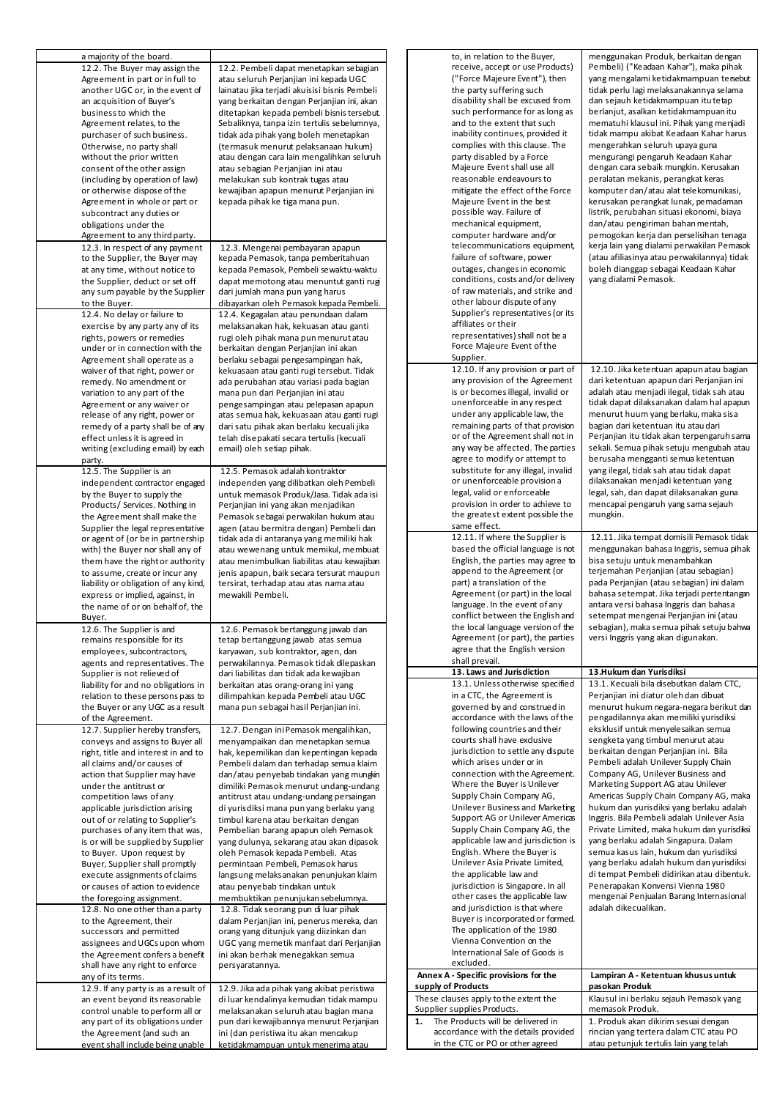| a majority of the board.<br>12.2. The Buyer may assign the<br>Agreement in part or in full to<br>another UGC or, in the event of<br>an acquisition of Buyer's<br>business to which the<br>Agreement relates, to the<br>purchaser of such business.<br>Otherwise, no party shall<br>without the prior written<br>consent of the other assign<br>(including by operation of law)<br>or otherwise dispose of the<br>Agreement in whole or part or<br>subcontract any duties or<br>obligations under the<br>Agreement to any third party.                                                                                                                                                                                                            | 12.2. Pembeli dapat menetapkan sebagian<br>atau seluruh Perjanjian ini kepada UGC<br>lainatau jika terjadi akuisisi bisnis Pembeli<br>yang berkaitan dengan Perjanjian ini, akan<br>ditetapkan kepada pembeli bisnis tersebut.<br>Sebaliknya, tanpa izin tertulis sebelumnya,<br>tidak ada pihak yang boleh menetapkan<br>(termasuk menurut pelaksanaan hukum)<br>atau dengan cara lain mengalihkan seluruh<br>atau sebagian Perjanjian ini atau<br>melakukan sub kontrak tugas atau<br>kewajiban apapun menurut Perjanjian ini<br>kepada pihak ke tiga mana pun.                                                                                                                                                                                                                                                                                                                                   | to, in relation to the Buyer,<br>receive, accept or use Products)<br>("Force Majeure Event"), then<br>the party suffering such<br>disability shall be excused from<br>such performance for as long as<br>and to the extent that such<br>inability continues, provided it<br>complies with this clause. The<br>party disabled by a Force<br>Majeure Event shall use all<br>reasonable endeavours to<br>mitigate the effect of the Force<br>Majeure Event in the best<br>possible way. Failure of<br>mechanical equipment,<br>computer hardware and/or                                                                                                                                                                     | menggunakan Produk, berkaitan dengan<br>Pembeli) ("Keadaan Kahar"), maka pihak<br>yang mengalami ketidakmampuan tersebut<br>tidak perlu lagi melaksanakannya selama<br>dan sejauh ketidakmampuan itu tetap<br>berlanjut, asalkan ketidakmampuan itu<br>mematuhi klausul ini. Pihak yang menjadi<br>tidak mampu akibat Keadaan Kahar harus<br>mengerahkan seluruh upaya guna<br>mengurangi pengaruh Keadaan Kahar<br>dengan cara sebaik mungkin. Kerusakan<br>peralatan mekanis, perangkat keras<br>komputer dan/atau alat telekomunikasi,<br>kerusakan perangkat lunak, pemadaman<br>listrik, perubahan situasi ekonomi, biaya<br>dan/atau pengiriman bahan mentah,<br>pemogokan kerja dan perselisihan tenaga |
|--------------------------------------------------------------------------------------------------------------------------------------------------------------------------------------------------------------------------------------------------------------------------------------------------------------------------------------------------------------------------------------------------------------------------------------------------------------------------------------------------------------------------------------------------------------------------------------------------------------------------------------------------------------------------------------------------------------------------------------------------|-----------------------------------------------------------------------------------------------------------------------------------------------------------------------------------------------------------------------------------------------------------------------------------------------------------------------------------------------------------------------------------------------------------------------------------------------------------------------------------------------------------------------------------------------------------------------------------------------------------------------------------------------------------------------------------------------------------------------------------------------------------------------------------------------------------------------------------------------------------------------------------------------------|--------------------------------------------------------------------------------------------------------------------------------------------------------------------------------------------------------------------------------------------------------------------------------------------------------------------------------------------------------------------------------------------------------------------------------------------------------------------------------------------------------------------------------------------------------------------------------------------------------------------------------------------------------------------------------------------------------------------------|----------------------------------------------------------------------------------------------------------------------------------------------------------------------------------------------------------------------------------------------------------------------------------------------------------------------------------------------------------------------------------------------------------------------------------------------------------------------------------------------------------------------------------------------------------------------------------------------------------------------------------------------------------------------------------------------------------------|
| 12.3. In respect of any payment<br>to the Supplier, the Buyer may<br>at any time, without notice to<br>the Supplier, deduct or set off<br>any sum payable by the Supplier<br>to the Buyer.<br>12.4. No delay or failure to<br>exercise by any party any of its<br>rights, powers or remedies<br>under or in connection with the<br>Agreement shall operate as a                                                                                                                                                                                                                                                                                                                                                                                  | 12.3. Mengenai pembayaran apapun<br>kepada Pemasok, tanpa pemberitahuan<br>kepada Pemasok, Pembeli sewaktu-waktu<br>dapat memotong atau menuntut ganti rugi<br>dari jumlah mana pun yang harus<br>dibayarkan oleh Pemasok kepada Pembeli.<br>12.4. Kegagalan atau penundaan dalam<br>melaksanakan hak, kekuasan atau ganti<br>rugi oleh pihak mana pun menurut atau<br>berkaitan dengan Perjanjian ini akan<br>berlaku sebagai pengesampingan hak,                                                                                                                                                                                                                                                                                                                                                                                                                                                  | telecommunications equipment,<br>failure of software, power<br>outages, changes in economic<br>conditions, costs and/or delivery<br>of raw materials, and strike and<br>other labour dispute of any<br>Supplier's representatives (or its<br>affiliates or their<br>representatives) shall not be a<br>Force Majeure Event of the<br>Supplier.                                                                                                                                                                                                                                                                                                                                                                           | kerja lain yang dialami perwakilan Pemasok<br>(atau afiliasinya atau perwakilannya) tidak<br>boleh dianggap sebagai Keadaan Kahar<br>yang dialami Pemasok.                                                                                                                                                                                                                                                                                                                                                                                                                                                                                                                                                     |
| waiver of that right, power or<br>remedy. No amendment or<br>variation to any part of the<br>Agreement or any waiver or<br>release of any right, power or<br>remedy of a party shall be of any<br>effect unless it is agreed in<br>writing (excluding email) by each<br>party.<br>12.5. The Supplier is an<br>independent contractor engaged<br>by the Buyer to supply the                                                                                                                                                                                                                                                                                                                                                                       | kekuasaan atau ganti rugi tersebut. Tidak<br>ada perubahan atau variasi pada bagian<br>mana pun dari Perjanjian ini atau<br>pengesampingan atau pelepasan apapun<br>atas semua hak, kekuasaan atau ganti rugi<br>dari satu pihak akan berlaku kecuali jika<br>telah disepakati secara tertulis (kecuali<br>email) oleh setiap pihak.<br>12.5. Pemasok adalah kontraktor<br>independen yang dilibatkan oleh Pembeli<br>untuk memasok Produk/Jasa. Tidak ada isi                                                                                                                                                                                                                                                                                                                                                                                                                                      | 12.10. If any provision or part of<br>any provision of the Agreement<br>is or becomes illegal, invalid or<br>unenforceable in any respect<br>under any applicable law, the<br>remaining parts of that provision<br>or of the Agreement shall not in<br>any way be affected. The parties<br>agree to modify or attempt to<br>substitute for any illegal, invalid<br>or unenforceable provision a<br>legal, valid or enforceable                                                                                                                                                                                                                                                                                           | 12.10. Jika ketentuan apapun atau bagian<br>dari ketentuan apapun dari Perjanjian ini<br>adalah atau menjadi ilegal, tidak sah atau<br>tidak dapat dilaksanakan dalam hal apapun<br>menurut huum yang berlaku, maka sisa<br>bagian dari ketentuan itu atau dari<br>Perjanjian itu tidak akan terpengaruh sama<br>sekali. Semua pihak setuju mengubah atau<br>berusaha mengganti semua ketentuan<br>yang ilegal, tidak sah atau tidak dapat<br>dilaksanakan menjadi ketentuan yang<br>legal, sah, dan dapat dilaksanakan guna                                                                                                                                                                                   |
| Products/ Services. Nothing in<br>the Agreement shall make the<br>Supplier the legal representative<br>or agent of (or be in partnership<br>with) the Buyer nor shall any of<br>them have the right or authority<br>to assume, create or incur any<br>liability or obligation of any kind,<br>express or implied, against, in<br>the name of or on behalf of, the<br>Buyer.                                                                                                                                                                                                                                                                                                                                                                      | Perjanjian ini yang akan menjadikan<br>Pemasok sebagai perwakilan hukum atau<br>agen (atau bermitra dengan) Pembeli dan<br>tidak ada di antaranya yang memiliki hak<br>atau wewenang untuk memikul, membuat<br>atau menimbulkan liabilitas atau kewajiban<br>jenis apapun, baik secara tersurat maupun<br>tersirat, terhadap atau atas nama atau<br>mewakili Pembeli.                                                                                                                                                                                                                                                                                                                                                                                                                                                                                                                               | provision in order to achieve to<br>the greatest extent possible the<br>same effect.<br>12.11. If where the Supplier is<br>based the official language is not<br>English, the parties may agree to<br>append to the Agreement (or<br>part) a translation of the<br>Agreement (or part) in the local<br>language. In the event of any<br>conflict between the English and                                                                                                                                                                                                                                                                                                                                                 | mencapai pengaruh yang sama sejauh<br>mungkin.<br>12.11. Jika tempat domisili Pemasok tidak<br>menggunakan bahasa Inggris, semua pihak<br>bisa setuju untuk menambahkan<br>terjemahan Perjanjian (atau sebagian)<br>pada Perjanjian (atau sebagian) ini dalam<br>bahasa setempat. Jika terjadi pertentangan<br>antara versi bahasa Inggris dan bahasa<br>setempat mengenai Perjanjian ini (atau                                                                                                                                                                                                                                                                                                                |
| 12.6. The Supplier is and<br>remains responsible for its<br>employees, subcontractors,<br>agents and representatives. The                                                                                                                                                                                                                                                                                                                                                                                                                                                                                                                                                                                                                        | 12.6. Pemasok bertanggung jawab dan<br>tetap bertanggung jawab atas semua<br>karyawan, sub kontraktor, agen, dan<br>perwakilannya. Pemasok tidak dilepaskan                                                                                                                                                                                                                                                                                                                                                                                                                                                                                                                                                                                                                                                                                                                                         | the local language version of the<br>Agreement (or part), the parties<br>agree that the English version<br>shall prevail.                                                                                                                                                                                                                                                                                                                                                                                                                                                                                                                                                                                                | sebagian), maka semua pihak setuju bahwa<br>versi Inggris yang akan digunakan.                                                                                                                                                                                                                                                                                                                                                                                                                                                                                                                                                                                                                                 |
| Supplier is not relieved of                                                                                                                                                                                                                                                                                                                                                                                                                                                                                                                                                                                                                                                                                                                      | dari liabilitas dan tidak ada kewajiban                                                                                                                                                                                                                                                                                                                                                                                                                                                                                                                                                                                                                                                                                                                                                                                                                                                             | 13. Laws and Jurisdiction                                                                                                                                                                                                                                                                                                                                                                                                                                                                                                                                                                                                                                                                                                | 13.Hukum dan Yurisdiksi                                                                                                                                                                                                                                                                                                                                                                                                                                                                                                                                                                                                                                                                                        |
| liability for and no obligations in<br>relation to these persons pass to<br>the Buyer or any UGC as a result<br>of the Agreement.                                                                                                                                                                                                                                                                                                                                                                                                                                                                                                                                                                                                                | berkaitan atas orang-orang ini yang<br>dilimpahkan kepada Pembeli atau UGC<br>mana pun sebagai hasil Perjanjian ini.                                                                                                                                                                                                                                                                                                                                                                                                                                                                                                                                                                                                                                                                                                                                                                                | 13.1. Unless otherwise specified<br>in a CTC, the Agreement is<br>governed by and construed in<br>accordance with the laws of the                                                                                                                                                                                                                                                                                                                                                                                                                                                                                                                                                                                        | 13.1. Kecuali bila disebutkan dalam CTC,<br>Perjanjian ini diatur oleh dan dibuat<br>menurut hukum negara-negara berikut dan<br>pengadilannya akan memiliki yurisdiksi                                                                                                                                                                                                                                                                                                                                                                                                                                                                                                                                         |
| 12.7. Supplier hereby transfers,<br>conveys and assigns to Buyer all<br>right, title and interest in and to<br>all claims and/or causes of<br>action that Supplier may have<br>under the antitrust or<br>competition laws of any<br>applicable jurisdiction arising<br>out of or relating to Supplier's<br>purchases of any item that was,<br>is or will be supplied by Supplier<br>to Buyer. Upon request by<br>Buyer, Supplier shall promptly<br>execute assignments of claims<br>or causes of action to evidence<br>the foregoing assignment.<br>12.8. No one other than a party<br>to the Agreement, their<br>successors and permitted<br>assignees and UGCs upon whom<br>the Agreement confers a benefit<br>shall have any right to enforce | 12.7. Dengan ini Pemasok mengalihkan,<br>menyampaikan dan menetapkan semua<br>hak, kepemilikan dan kepentingan kepada<br>Pembeli dalam dan terhadap semua klaim<br>dan/atau penyebab tindakan yang mungkin<br>dimiliki Pemasok menurut undang-undang<br>antitrust atau undang-undang persaingan<br>di yurisdiksi mana pun yang berlaku yang<br>timbul karena atau berkaitan dengan<br>Pembelian barang apapun oleh Pemasok<br>yang dulunya, sekarang atau akan dipasok<br>oleh Pemasok kepada Pembeli. Atas<br>permintaan Pembeli, Pemasok harus<br>langsung melaksanakan penunjukan klaim<br>atau penyebab tindakan untuk<br>membuktikan penunjukan sebelumnya.<br>12.8. Tidak seorang pun di luar pihak<br>dalam Perjanjian ini, penerus mereka, dan<br>orang yang ditunjuk yang diizinkan dan<br>UGC yang memetik manfaat dari Perjanjian<br>ini akan berhak menegakkan semua<br>persyaratannya. | following countries and their<br>courts shall have exdusive<br>jurisdiction to settle any dispute<br>which arises under or in<br>connection with the Agreement.<br>Where the Buyer is Unilever<br>Supply Chain Company AG,<br>Unilever Business and Marketing<br>Support AG or Unilever Americas<br>Supply Chain Company AG, the<br>applicable law and jurisdiction is<br>English. Where the Buyer is<br>Unilever Asia Private Limited,<br>the applicable law and<br>jurisdiction is Singapore. In all<br>other cases the applicable law<br>and jurisdiction is that where<br>Buyer is incorporated or formed.<br>The application of the 1980<br>Vienna Convention on the<br>International Sale of Goods is<br>excluded. | eksklusif untuk menyelesaikan semua<br>sengketa yang timbul menurut atau<br>berkaitan dengan Perjanjian ini. Bila<br>Pembeli adalah Unilever Supply Chain<br>Company AG, Unilever Business and<br>Marketing Support AG atau Unilever<br>Americas Supply Chain Company AG, maka<br>hukum dan yurisdiksi yang berlaku adalah<br>Inggris. Bila Pembeli adalah Unilever Asia<br>Private Limited, maka hukum dan yurisdiksi<br>yang berlaku adalah Singapura. Dalam<br>semua kasus lain, hukum dan yurisdiksi<br>yang berlaku adalah hukum dan yurisdiksi<br>di tempat Pembeli didirikan atau dibentuk.<br>Penerapakan Konvensi Vienna 1980<br>mengenai Penjualan Barang Internasional<br>adalah dikecualikan.      |
| any of its terms.<br>12.9. If any party is as a result of                                                                                                                                                                                                                                                                                                                                                                                                                                                                                                                                                                                                                                                                                        | 12.9. Jika ada pihak yang akibat peristiwa                                                                                                                                                                                                                                                                                                                                                                                                                                                                                                                                                                                                                                                                                                                                                                                                                                                          | Annex A - Specific provisions for the<br>supply of Products                                                                                                                                                                                                                                                                                                                                                                                                                                                                                                                                                                                                                                                              | Lampiran A - Ketentuan khusus untuk<br>pasokan Produk                                                                                                                                                                                                                                                                                                                                                                                                                                                                                                                                                                                                                                                          |
| an event beyond its reasonable<br>control unable to perform all or<br>any part of its obligations under                                                                                                                                                                                                                                                                                                                                                                                                                                                                                                                                                                                                                                          | di luar kendalinya kemudian tidak mampu<br>melaksanakan seluruh atau bagian mana<br>pun dari kewajibannya menurut Perjanjian                                                                                                                                                                                                                                                                                                                                                                                                                                                                                                                                                                                                                                                                                                                                                                        | These clauses apply to the extent the<br>Supplier supplies Products.<br>The Products will be delivered in<br>1.                                                                                                                                                                                                                                                                                                                                                                                                                                                                                                                                                                                                          | Klausul ini berlaku sejauh Pemasok yang<br>memasok Produk.<br>1. Produk akan dikirim sesuai dengan                                                                                                                                                                                                                                                                                                                                                                                                                                                                                                                                                                                                             |
| the Agreement (and such an<br>event shall include being unable                                                                                                                                                                                                                                                                                                                                                                                                                                                                                                                                                                                                                                                                                   | ini (dan peristiwa itu akan mencakup<br>ketidakmampuan untuk menerima atau                                                                                                                                                                                                                                                                                                                                                                                                                                                                                                                                                                                                                                                                                                                                                                                                                          | accordance with the details provided<br>in the CTC or PO or other agreed                                                                                                                                                                                                                                                                                                                                                                                                                                                                                                                                                                                                                                                 | rincian yang tertera dalam CTC atau PO<br>atau petunjuk tertulis lain yang telah                                                                                                                                                                                                                                                                                                                                                                                                                                                                                                                                                                                                                               |